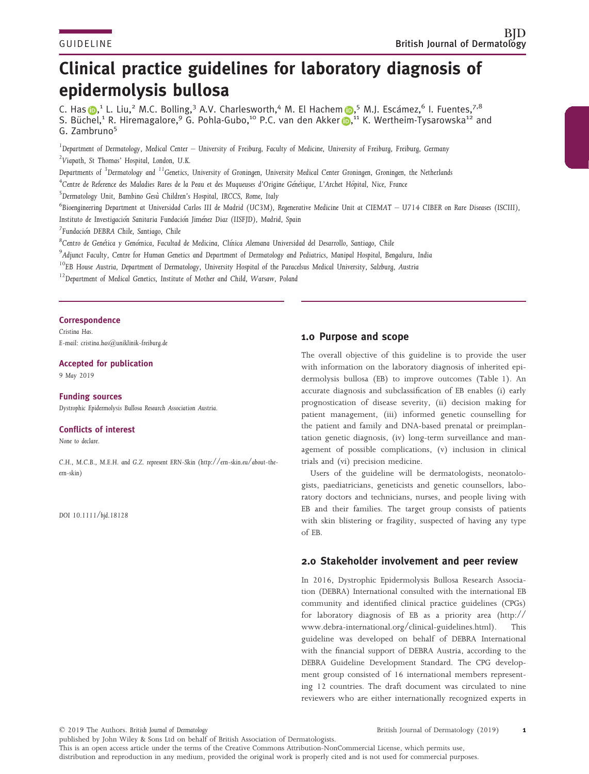# Clinical practice guidelines for laboratory diagnosis of epidermolysis bullosa

C. Ha[s](https://orcid.org/0000-0001-6066-507X) **D**,<sup>1</sup> L. Liu,<sup>2</sup> M.C. Bolling,<sup>3</sup> A.V. Charlesworth,<sup>4</sup> M. El Hachem D,<sup>5</sup> M.J. Escámez,<sup>6</sup> I. Fuentes,<sup>7,8</sup> S. Büchel,<sup>1</sup> R. Hiremagalore,<sup>9</sup> G. Pohla-Gubo,<sup>10</sup> P.C. van den Akker (D,<sup>11</sup> K. Wertheim-Tysarowska<sup>12</sup> and G. Zambruno5

 $^1$ Department of Dermatology, Medical Center – University of Freiburg, Faculty of Medicine, University of Freiburg, Freiburg, Germany 2 Viapath, St Thomas' Hospital, London, U.K.

Departments of <sup>3</sup>Dermatology and <sup>11</sup>Genetics, University of Groningen, University Medical Center Groningen, Groningen, the Netherlands

<sup>4</sup>Centre de Reference des Maladies Rares de la Peau et des Muqueuses d'Origine Génétique, L'Archet Hôpital, Nice, France

<sup>5</sup>Dermatology Unit, Bambino Gesù Children's Hospital, IRCCS, Rome, Italy

 $^6$ Bioengineering Department at Universidad Carlos III de Madrid (UC3M), Regenerative Medicine Unit at CIEMAT  $-$  U714 CIBER on Rare Diseases (ISCIII), Instituto de Investigacion Sanitaria Fundacion Jimenez Diaz (IISFJD), Madrid, Spain

<sup>7</sup>Fundación DEBRA Chile, Santiago, Chile

<sup>8</sup>Centro de Genética y Genómica, Facultad de Medicina, Clínica Alemana Universidad del Desarrollo, Santiago, Chile

 $^9$ Adjunct Faculty, Centre for Human Genetics and Department of Dermatology and Pediatrics, Manipal Hospital, Bengaluru, India

<sup>10</sup>EB House Austria, Department of Dermatology, University Hospital of the Paracelsus Medical University, Salzburg, Austria

<sup>12</sup>Department of Medical Genetics, Institute of Mother and Child, Warsaw, Poland

#### **Correspondence**

Cristina Has. E-mail: [cristina.has@uniklinik-freiburg.de](mailto:)

#### Accepted for publication

9 May 2019

## Funding sources

Dystrophic Epidermolysis Bullosa Research Association Austria.

## Conflicts of interest

None to declare.

C.H., M.C.B., M.E.H. and G.Z. represent ERN-Skin ([http://ern-skin.eu/about-the](http://ern-skin.eu/about-the-ern-skin)[ern-skin](http://ern-skin.eu/about-the-ern-skin))

DOI 10.1111/bjd.18128

# 1.0 Purpose and scope

The overall objective of this guideline is to provide the user with information on the laboratory diagnosis of inherited epidermolysis bullosa (EB) to improve outcomes (Table 1). An accurate diagnosis and subclassification of EB enables (i) early prognostication of disease severity, (ii) decision making for patient management, (iii) informed genetic counselling for the patient and family and DNA-based prenatal or preimplantation genetic diagnosis, (iv) long-term surveillance and management of possible complications, (v) inclusion in clinical trials and (vi) precision medicine.

Users of the guideline will be dermatologists, neonatologists, paediatricians, geneticists and genetic counsellors, laboratory doctors and technicians, nurses, and people living with EB and their families. The target group consists of patients with skin blistering or fragility, suspected of having any type of EB.

# 2.0 Stakeholder involvement and peer review

In 2016, Dystrophic Epidermolysis Bullosa Research Association (DEBRA) International consulted with the international EB community and identified clinical practice guidelines (CPGs) for laboratory diagnosis of EB as a priority area ([http://](http://www.debra-international.org/clinical-guidelines.html) [www.debra-international.org/clinical-guidelines.html\)](http://www.debra-international.org/clinical-guidelines.html). This guideline was developed on behalf of DEBRA International with the financial support of DEBRA Austria, according to the DEBRA Guideline Development Standard. The CPG development group consisted of 16 international members representing 12 countries. The draft document was circulated to nine reviewers who are either internationally recognized experts in

© 2019 The Authors. British Journal of Dermatology published by John Wiley & Sons Ltd on behalf of British Association of Dermatologists. British Journal of Dermatology (2019) 1 This is an open access article under the terms of the [Creative Commons Attribution-NonCommercial](http://creativecommons.org/licenses/by-nc/4.0/) License, which permits use, distribution and reproduction in any medium, provided the original work is properly cited and is not used for commercial purposes.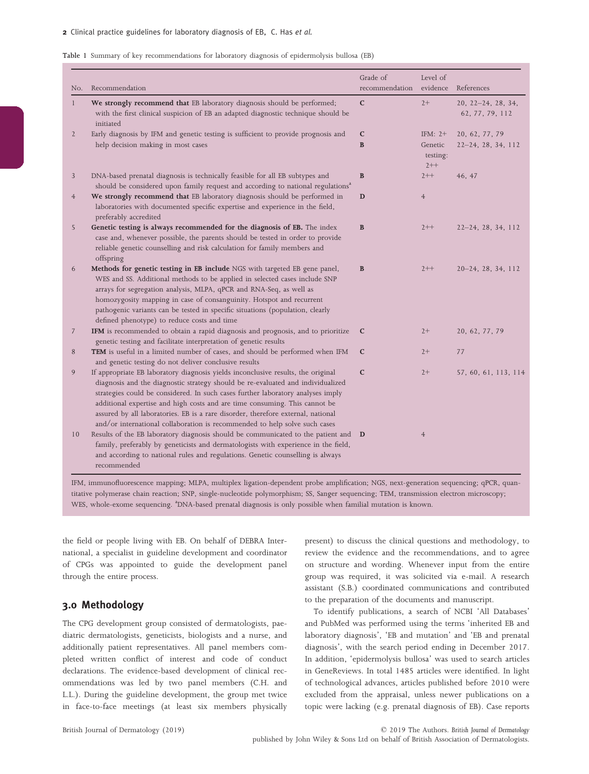#### 2 Clinical practice guidelines for laboratory diagnosis of EB, C. Has et al.

#### Table 1 Summary of key recommendations for laboratory diagnosis of epidermolysis bullosa (EB)

| No.            | Recommendation                                                                                                                                                                                                                                                                                                                                                                                                                                                                                         | Grade of<br>recommendation  | Level of<br>evidence                      | References                                |
|----------------|--------------------------------------------------------------------------------------------------------------------------------------------------------------------------------------------------------------------------------------------------------------------------------------------------------------------------------------------------------------------------------------------------------------------------------------------------------------------------------------------------------|-----------------------------|-------------------------------------------|-------------------------------------------|
| $\mathbf{1}$   | We strongly recommend that EB laboratory diagnosis should be performed;<br>with the first clinical suspicion of EB an adapted diagnostic technique should be<br>initiated                                                                                                                                                                                                                                                                                                                              | $\mathbf C$                 | $2+$                                      | $20, 22 - 24, 28, 34,$<br>62, 77, 79, 112 |
| 2              | Early diagnosis by IFM and genetic testing is sufficient to provide prognosis and<br>help decision making in most cases                                                                                                                                                                                                                                                                                                                                                                                | $\mathbf c$<br>$\, {\bf B}$ | IFM: $2+$<br>Genetic<br>testing:<br>$2++$ | 20, 62, 77, 79<br>22-24, 28, 34, 112      |
| 3              | DNA-based prenatal diagnosis is technically feasible for all EB subtypes and<br>should be considered upon family request and according to national regulations <sup>a</sup>                                                                                                                                                                                                                                                                                                                            | $\bf{B}$                    | $2++$                                     | 46, 47                                    |
| $\overline{4}$ | We strongly recommend that EB laboratory diagnosis should be performed in<br>laboratories with documented specific expertise and experience in the field,<br>preferably accredited                                                                                                                                                                                                                                                                                                                     | D                           | $\overline{4}$                            |                                           |
| 5              | Genetic testing is always recommended for the diagnosis of EB. The index<br>case and, whenever possible, the parents should be tested in order to provide<br>reliable genetic counselling and risk calculation for family members and<br>offspring                                                                                                                                                                                                                                                     | B                           | $2++$                                     | $22-24, 28, 34, 112$                      |
| 6              | Methods for genetic testing in EB include NGS with targeted EB gene panel,<br>WES and SS. Additional methods to be applied in selected cases include SNP<br>arrays for segregation analysis, MLPA, qPCR and RNA-Seq, as well as<br>homozygosity mapping in case of consanguinity. Hotspot and recurrent<br>pathogenic variants can be tested in specific situations (population, clearly<br>defined phenotype) to reduce costs and time                                                                | $\mathbf{B}$                | $2++$                                     | $20-24, 28, 34, 112$                      |
| 7              | IFM is recommended to obtain a rapid diagnosis and prognosis, and to prioritize<br>genetic testing and facilitate interpretation of genetic results                                                                                                                                                                                                                                                                                                                                                    | $\mathbf{C}$                | $2+$                                      | 20, 62, 77, 79                            |
| 8              | TEM is useful in a limited number of cases, and should be performed when IFM<br>and genetic testing do not deliver conclusive results                                                                                                                                                                                                                                                                                                                                                                  | $\mathbf C$                 | $2+$                                      | 77                                        |
| 9              | If appropriate EB laboratory diagnosis yields inconclusive results, the original<br>diagnosis and the diagnostic strategy should be re-evaluated and individualized<br>strategies could be considered. In such cases further laboratory analyses imply<br>additional expertise and high costs and are time consuming. This cannot be<br>assured by all laboratories. EB is a rare disorder, therefore external, national<br>and/or international collaboration is recommended to help solve such cases | $\mathbf C$                 | $2+$                                      | 57, 60, 61, 113, 114                      |
| 10             | Results of the EB laboratory diagnosis should be communicated to the patient and D<br>family, preferably by geneticists and dermatologists with experience in the field,<br>and according to national rules and regulations. Genetic counselling is always<br>recommended                                                                                                                                                                                                                              |                             | $\overline{4}$                            |                                           |

IFM, immunofluorescence mapping; MLPA, multiplex ligation-dependent probe amplification; NGS, next-generation sequencing; qPCR, quantitative polymerase chain reaction; SNP, single-nucleotide polymorphism; SS, Sanger sequencing; TEM, transmission electron microscopy; WES, whole-exome sequencing. <sup>a</sup>DNA-based prenatal diagnosis is only possible when familial mutation is known.

the field or people living with EB. On behalf of DEBRA International, a specialist in guideline development and coordinator of CPGs was appointed to guide the development panel through the entire process.

# 3.0 Methodology

The CPG development group consisted of dermatologists, paediatric dermatologists, geneticists, biologists and a nurse, and additionally patient representatives. All panel members completed written conflict of interest and code of conduct declarations. The evidence-based development of clinical recommendations was led by two panel members (C.H. and L.L.). During the guideline development, the group met twice in face-to-face meetings (at least six members physically present) to discuss the clinical questions and methodology, to review the evidence and the recommendations, and to agree on structure and wording. Whenever input from the entire group was required, it was solicited via e-mail. A research assistant (S.B.) coordinated communications and contributed to the preparation of the documents and manuscript.

To identify publications, a search of NCBI 'All Databases' and PubMed was performed using the terms 'inherited EB and laboratory diagnosis', 'EB and mutation' and 'EB and prenatal diagnosis', with the search period ending in December 2017. In addition, 'epidermolysis bullosa' was used to search articles in GeneReviews. In total 1485 articles were identified. In light of technological advances, articles published before 2010 were excluded from the appraisal, unless newer publications on a topic were lacking (e.g. prenatal diagnosis of EB). Case reports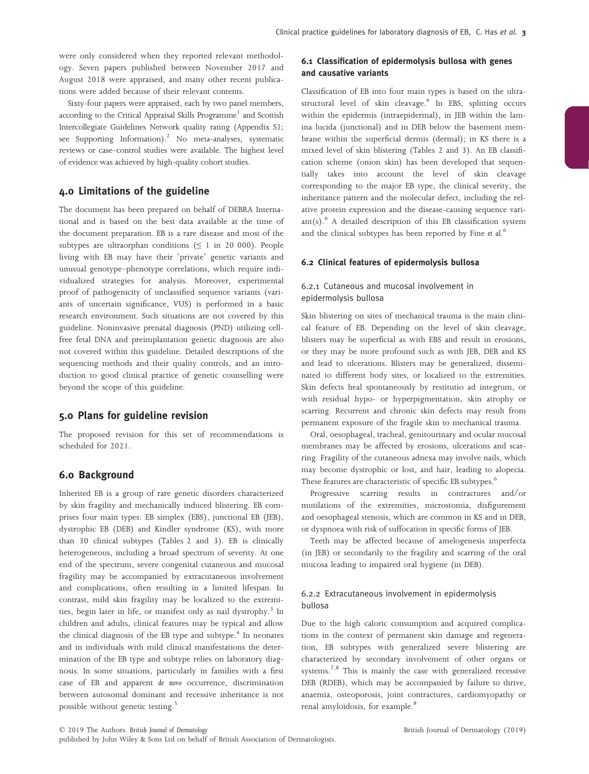were only considered when they reported relevant methodology. Seven papers published between November 2017 and August 2018 were appraised, and many other recent publications were added because of their relevant contents.

Sixty-four papers were appraised, each by two panel members, according to the Critical Appraisal Skills Programme<sup>1</sup> and Scottish Intercollegiate Guidelines Network quality rating (Appendix S1; see Supporting Information).<sup>2</sup> No meta-analyses, systematic reviews or case–control studies were available. The highest level of evidence was achieved by high-quality cohort studies.

# 4.0 Limitations of the guideline

The document has been prepared on behalf of DEBRA International and is based on the best data available at the time of the document preparation. EB is a rare disease and most of the subtypes are ultraorphan conditions ( $\leq 1$  in 20 000). People living with EB may have their 'private' genetic variants and unusual genotype–phenotype correlations, which require individualized strategies for analysis. Moreover, experimental proof of pathogenicity of unclassified sequence variants (variants of uncertain significance, VUS) is performed in a basic research environment. Such situations are not covered by this guideline. Noninvasive prenatal diagnosis (PND) utilizing cellfree fetal DNA and preimplantation genetic diagnosis are also not covered within this guideline. Detailed descriptions of the sequencing methods and their quality controls, and an introduction to good clinical practice of genetic counselling were beyond the scope of this guideline.

# 5.0 Plans for guideline revision

The proposed revision for this set of recommendations is scheduled for 2021.

## 6.0 Background

Inherited EB is a group of rare genetic disorders characterized by skin fragility and mechanically induced blistering. EB comprises four main types: EB simplex (EBS), junctional EB (JEB), dystrophic EB (DEB) and Kindler syndrome (KS), with more than 30 clinical subtypes (Tables 2 and 3). EB is clinically heterogeneous, including a broad spectrum of severity. At one end of the spectrum, severe congenital cutaneous and mucosal fragility may be accompanied by extracutaneous involvement and complications, often resulting in a limited lifespan. In contrast, mild skin fragility may be localized to the extremities, begin later in life, or manifest only as nail dystrophy.<sup>3</sup> In children and adults, clinical features may be typical and allow the clinical diagnosis of the EB type and subtype.<sup>4</sup> In neonates and in individuals with mild clinical manifestations the determination of the EB type and subtype relies on laboratory diagnosis. In some situations, particularly in families with a first case of EB and apparent de novo occurrence, discrimination between autosomal dominant and recessive inheritance is not possible without genetic testing.<sup>5</sup>

## 6.1 Classification of epidermolysis bullosa with genes and causative variants

Classification of EB into four main types is based on the ultrastructural level of skin cleavage.<sup>6</sup> In EBS, splitting occurs within the epidermis (intraepidermal), in JEB within the lamina lucida (junctional) and in DEB below the basement membrane within the superficial dermis (dermal); in KS there is a mixed level of skin blistering (Tables 2 and 3). An EB classification scheme (onion skin) has been developed that sequentially takes into account the level of skin cleavage corresponding to the major EB type, the clinical severity, the inheritance pattern and the molecular defect, including the relative protein expression and the disease-causing sequence vari $ant(s)$ .<sup>6</sup> A detailed description of this EB classification system and the clinical subtypes has been reported by Fine et al.<sup>6</sup>

## 6.2 Clinical features of epidermolysis bullosa

# 6.2.1 Cutaneous and mucosal involvement in epidermolysis bullosa

Skin blistering on sites of mechanical trauma is the main clinical feature of EB. Depending on the level of skin cleavage, blisters may be superficial as with EBS and result in erosions, or they may be more profound such as with JEB, DEB and KS and lead to ulcerations. Blisters may be generalized, disseminated to different body sites, or localized to the extremities. Skin defects heal spontaneously by restitutio ad integrum, or with residual hypo- or hyperpigmentation, skin atrophy or scarring. Recurrent and chronic skin defects may result from permanent exposure of the fragile skin to mechanical trauma.

Oral, oesophageal, tracheal, genitourinary and ocular mucosal membranes may be affected by erosions, ulcerations and scarring. Fragility of the cutaneous adnexa may involve nails, which may become dystrophic or lost, and hair, leading to alopecia. These features are characteristic of specific EB subtypes.<sup>6</sup>

Progressive scarring results in contractures and/or mutilations of the extremities, microstomia, disfigurement and oesophageal stenosis, which are common in KS and in DEB, or dyspnoea with risk of suffocation in specific forms of JEB.

Teeth may be affected because of amelogenesis imperfecta (in JEB) or secondarily to the fragility and scarring of the oral mucosa leading to impaired oral hygiene (in DEB).

## 6.2.2 Extracutaneous involvement in epidermolysis bullosa

Due to the high caloric consumption and acquired complications in the context of permanent skin damage and regeneration, EB subtypes with generalized severe blistering are characterized by secondary involvement of other organs or systems.<sup>7,8</sup> This is mainly the case with generalized recessive DEB (RDEB), which may be accompanied by failure to thrive, anaemia, osteoporosis, joint contractures, cardiomyopathy or renal amyloidosis, for example.<sup>8</sup>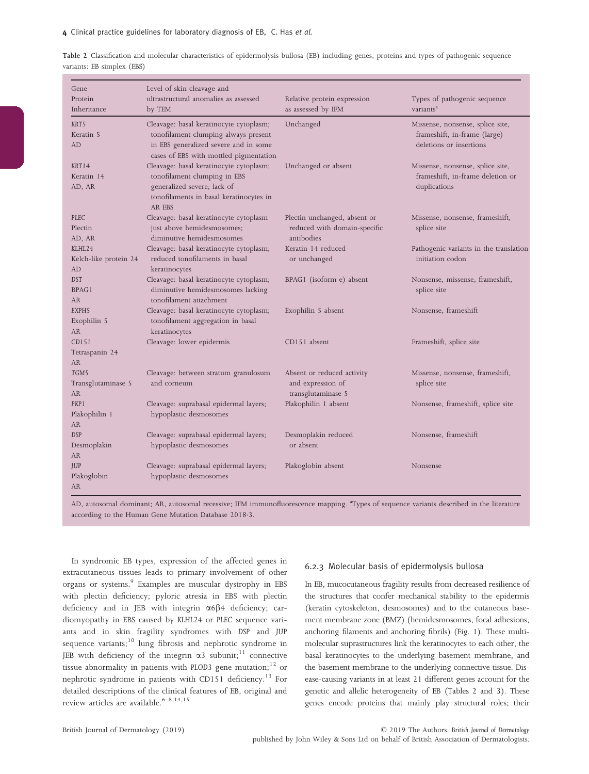| Gene                   | Level of skin cleavage and                                                      |                                                   |                                                                  |
|------------------------|---------------------------------------------------------------------------------|---------------------------------------------------|------------------------------------------------------------------|
| Protein<br>Inheritance | ultrastructural anomalies as assessed<br>by TEM                                 | Relative protein expression<br>as assessed by IFM | Types of pathogenic sequence<br>variants <sup>a</sup>            |
|                        |                                                                                 |                                                   |                                                                  |
| KRT5<br>Keratin 5      | Cleavage: basal keratinocyte cytoplasm;<br>tonofilament clumping always present | Unchanged                                         | Missense, nonsense, splice site,<br>frameshift, in-frame (large) |
| AD                     | in EBS generalized severe and in some                                           |                                                   | deletions or insertions                                          |
|                        | cases of EBS with mottled pigmentation                                          |                                                   |                                                                  |
| KRT14                  | Cleavage: basal keratinocyte cytoplasm;                                         | Unchanged or absent                               | Missense, nonsense, splice site,                                 |
| Keratin 14             | tonofilament clumping in EBS                                                    |                                                   | frameshift, in-frame deletion or                                 |
| AD, AR                 | generalized severe; lack of                                                     |                                                   | duplications                                                     |
|                        | tonofilaments in basal keratinocytes in                                         |                                                   |                                                                  |
|                        | AR EBS                                                                          |                                                   |                                                                  |
| PLEC                   | Cleavage: basal keratinocyte cytoplasm                                          | Plectin unchanged, absent or                      | Missense, nonsense, frameshift,                                  |
| Plectin                | just above hemidesmosomes;                                                      | reduced with domain-specific                      | splice site                                                      |
| AD, AR                 | diminutive hemidesmosomes                                                       | antibodies                                        |                                                                  |
| KLHL24                 | Cleavage: basal keratinocyte cytoplasm;                                         | Keratin 14 reduced                                | Pathogenic variants in the translation                           |
| Kelch-like protein 24  | reduced tonofilaments in basal                                                  | or unchanged                                      | initiation codon                                                 |
| AD                     | keratinocytes                                                                   |                                                   |                                                                  |
| <b>DST</b>             | Cleavage: basal keratinocyte cytoplasm;                                         | BPAG1 (isoform e) absent                          | Nonsense, missense, frameshift,                                  |
| BPAG1<br><b>AR</b>     | diminutive hemidesmosomes lacking<br>tonofilament attachment                    |                                                   | splice site                                                      |
| EXPH <sub>5</sub>      | Cleavage: basal keratinocyte cytoplasm;                                         | Exophilin 5 absent                                | Nonsense, frameshift                                             |
| Exophilin 5            | tonofilament aggregation in basal                                               |                                                   |                                                                  |
| <b>AR</b>              | keratinocytes                                                                   |                                                   |                                                                  |
| CD151                  | Cleavage: lower epidermis                                                       | CD151 absent                                      | Frameshift, splice site                                          |
| Tetraspanin 24         |                                                                                 |                                                   |                                                                  |
| <b>AR</b>              |                                                                                 |                                                   |                                                                  |
| TGM5                   | Cleavage: between stratum granulosum                                            | Absent or reduced activity                        | Missense, nonsense, frameshift,                                  |
| Transglutaminase 5     | and corneum                                                                     | and expression of                                 | splice site                                                      |
| <b>AR</b>              |                                                                                 | transglutaminase 5                                |                                                                  |
| PKP <sub>1</sub>       | Cleavage: suprabasal epidermal layers;                                          | Plakophilin 1 absent                              | Nonsense, frameshift, splice site                                |
| Plakophilin 1          | hypoplastic desmosomes                                                          |                                                   |                                                                  |
| <b>AR</b>              |                                                                                 |                                                   |                                                                  |
| <b>DSP</b>             | Cleavage: suprabasal epidermal layers;                                          | Desmoplakin reduced                               | Nonsense, frameshift                                             |
| Desmoplakin            | hypoplastic desmosomes                                                          | or absent                                         |                                                                  |
| <b>AR</b>              |                                                                                 |                                                   |                                                                  |
| <b>JUP</b>             | Cleavage: suprabasal epidermal layers;                                          | Plakoglobin absent                                | Nonsense                                                         |
| Plakoglobin            | hypoplastic desmosomes                                                          |                                                   |                                                                  |
| <b>AR</b>              |                                                                                 |                                                   |                                                                  |

Table 2 Classification and molecular characteristics of epidermolysis bullosa (EB) including genes, proteins and types of pathogenic sequence variants: EB simplex (EBS)

AD, autosomal dominant; AR, autosomal recessive; IFM immunofluorescence mapping. <sup>a</sup>Types of sequence variants described in the literature according to the Human Gene Mutation Database 2018.3.

In syndromic EB types, expression of the affected genes in extracutaneous tissues leads to primary involvement of other organs or systems.<sup>9</sup> Examples are muscular dystrophy in EBS with plectin deficiency; pyloric atresia in EBS with plectin deficiency and in JEB with integrin  $\alpha$ 6 $\beta$ 4 deficiency; cardiomyopathy in EBS caused by KLHL24 or PLEC sequence variants and in skin fragility syndromes with DSP and JUP sequence variants; $10 \;$  lung fibrosis and nephrotic syndrome in JEB with deficiency of the integrin  $\alpha$ 3 subunit;<sup>11</sup> connective tissue abnormality in patients with PLOD3 gene mutation; $12$  or nephrotic syndrome in patients with CD151 deficiency.<sup>13</sup> For detailed descriptions of the clinical features of EB, original and review articles are available.  $6-8,14,15$ 

#### 6.2.3 Molecular basis of epidermolysis bullosa

In EB, mucocutaneous fragility results from decreased resilience of the structures that confer mechanical stability to the epidermis (keratin cytoskeleton, desmosomes) and to the cutaneous basement membrane zone (BMZ) (hemidesmosomes, focal adhesions, anchoring filaments and anchoring fibrils) (Fig. 1). These multimolecular suprastructures link the keratinocytes to each other, the basal keratinocytes to the underlying basement membrane, and the basement membrane to the underlying connective tissue. Disease-causing variants in at least 21 different genes account for the genetic and allelic heterogeneity of EB (Tables 2 and 3). These genes encode proteins that mainly play structural roles; their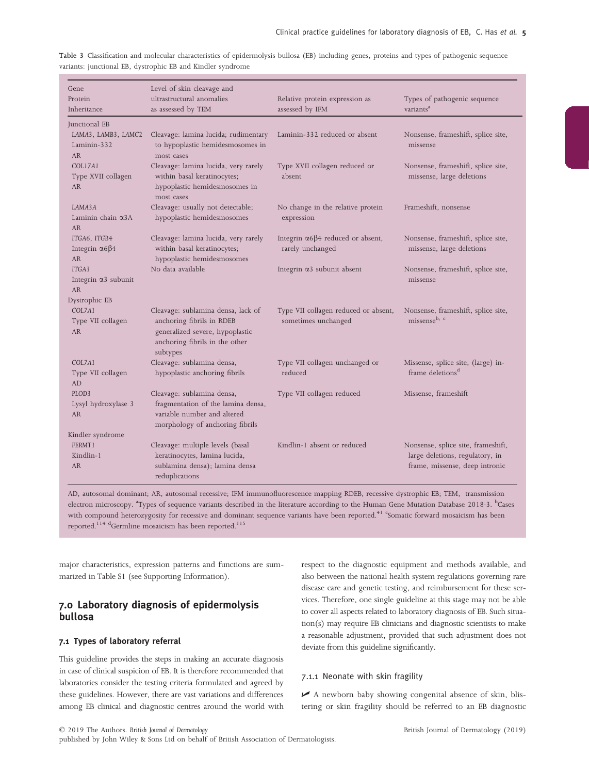| Gene<br>Protein<br>Inheritance                                   | Level of skin cleavage and<br>ultrastructural anomalies<br>as assessed by TEM                                                                    | Relative protein expression as<br>assessed by IFM                    | Types of pathogenic sequence<br>variants <sup>a</sup>                                                   |
|------------------------------------------------------------------|--------------------------------------------------------------------------------------------------------------------------------------------------|----------------------------------------------------------------------|---------------------------------------------------------------------------------------------------------|
| Junctional EB<br>LAMA3, LAMB3, LAMC2<br>Laminin-332<br><b>AR</b> | Cleavage: lamina lucida; rudimentary<br>to hypoplastic hemidesmosomes in<br>most cases                                                           | Laminin-332 reduced or absent                                        | Nonsense, frameshift, splice site,<br>missense                                                          |
| COL17A1<br>Type XVII collagen<br><b>AR</b>                       | Cleavage: lamina lucida, very rarely<br>within basal keratinocytes;<br>hypoplastic hemidesmosomes in<br>most cases                               | Type XVII collagen reduced or<br>absent                              | Nonsense, frameshift, splice site,<br>missense, large deletions                                         |
| LAMA3A<br>Laminin chain $\alpha$ 3A<br><b>AR</b>                 | Cleavage: usually not detectable;<br>hypoplastic hemidesmosomes                                                                                  | No change in the relative protein<br>expression                      | Frameshift, nonsense                                                                                    |
| ITGA6, ITGB4<br>Integrin $\alpha$ 6 $\beta$ 4<br><b>AR</b>       | Cleavage: lamina lucida, very rarely<br>within basal keratinocytes;<br>hypoplastic hemidesmosomes                                                | Integrin $\alpha$ 6 $\beta$ 4 reduced or absent,<br>rarely unchanged | Nonsense, frameshift, splice site,<br>missense, large deletions                                         |
| ITGA3<br>Integrin $\alpha$ 3 subunit<br><b>AR</b>                | No data available                                                                                                                                | Integrin $\alpha$ 3 subunit absent                                   | Nonsense, frameshift, splice site,<br>missense                                                          |
| Dystrophic EB                                                    |                                                                                                                                                  |                                                                      |                                                                                                         |
| COL7A1<br>Type VII collagen<br><b>AR</b>                         | Cleavage: sublamina densa, lack of<br>anchoring fibrils in RDEB<br>generalized severe, hypoplastic<br>anchoring fibrils in the other<br>subtypes | Type VII collagen reduced or absent,<br>sometimes unchanged          | Nonsense, frameshift, splice site,<br>missense <sup>b, c</sup>                                          |
| COL7A1<br>Type VII collagen<br>AD                                | Cleavage: sublamina densa,<br>hypoplastic anchoring fibrils                                                                                      | Type VII collagen unchanged or<br>reduced                            | Missense, splice site, (large) in-<br>frame deletions <sup>d</sup>                                      |
| PLOD <sub>3</sub><br>Lysyl hydroxylase 3<br><b>AR</b>            | Cleavage: sublamina densa,<br>fragmentation of the lamina densa,<br>variable number and altered<br>morphology of anchoring fibrils               | Type VII collagen reduced                                            | Missense, frameshift                                                                                    |
| Kindler syndrome                                                 |                                                                                                                                                  |                                                                      |                                                                                                         |
| FERMT1<br>Kindlin-1<br><b>AR</b>                                 | Cleavage: multiple levels (basal<br>keratinocytes, lamina lucida,<br>sublamina densa); lamina densa<br>reduplications                            | Kindlin-1 absent or reduced                                          | Nonsense, splice site, frameshift,<br>large deletions, regulatory, in<br>frame, missense, deep intronic |

Table 3 Classification and molecular characteristics of epidermolysis bullosa (EB) including genes, proteins and types of pathogenic sequence variants: junctional EB, dystrophic EB and Kindler syndrome

AD, autosomal dominant; AR, autosomal recessive; IFM immunofluorescence mapping RDEB, recessive dystrophic EB; TEM, transmission electron microscopy. <sup>a</sup>Types of sequence variants described in the literature according to the Human Gene Mutation Database 2018 3. <sup>b</sup>Cases with compound heterozygosity for recessive and dominant sequence variants have been reported.<sup>41</sup> <sup>c</sup>Somatic forward mosaicism has been reported.<sup>114 d</sup>Germline mosaicism has been reported.<sup>115</sup>

major characteristics, expression patterns and functions are summarized in Table S1 (see Supporting Information).

# 7.0 Laboratory diagnosis of epidermolysis bullosa

#### 7.1 Types of laboratory referral

This guideline provides the steps in making an accurate diagnosis in case of clinical suspicion of EB. It is therefore recommended that laboratories consider the testing criteria formulated and agreed by these guidelines. However, there are vast variations and differences among EB clinical and diagnostic centres around the world with

respect to the diagnostic equipment and methods available, and also between the national health system regulations governing rare disease care and genetic testing, and reimbursement for these services. Therefore, one single guideline at this stage may not be able to cover all aspects related to laboratory diagnosis of EB. Such situation(s) may require EB clinicians and diagnostic scientists to make a reasonable adjustment, provided that such adjustment does not deviate from this guideline significantly.

## 7.1.1 Neonate with skin fragility

 $\blacktriangleright$  A newborn baby showing congenital absence of skin, blistering or skin fragility should be referred to an EB diagnostic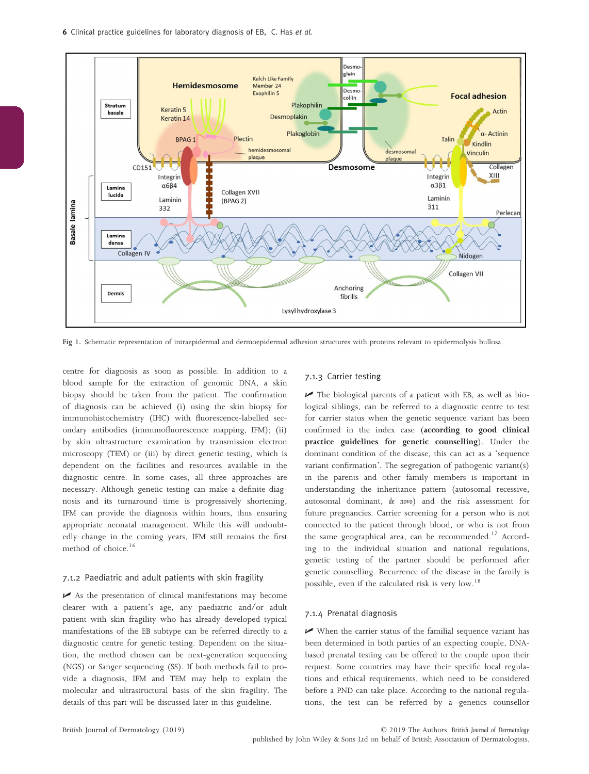

Fig 1. Schematic representation of intraepidermal and dermoepidermal adhesion structures with proteins relevant to epidermolysis bullosa.

centre for diagnosis as soon as possible. In addition to a blood sample for the extraction of genomic DNA, a skin biopsy should be taken from the patient. The confirmation of diagnosis can be achieved (i) using the skin biopsy for immunohistochemistry (IHC) with fluorescence-labelled secondary antibodies (immunofluorescence mapping, IFM); (ii) by skin ultrastructure examination by transmission electron microscopy (TEM) or (iii) by direct genetic testing, which is dependent on the facilities and resources available in the diagnostic centre. In some cases, all three approaches are necessary. Although genetic testing can make a definite diagnosis and its turnaround time is progressively shortening, IFM can provide the diagnosis within hours, thus ensuring appropriate neonatal management. While this will undoubtedly change in the coming years, IFM still remains the first method of choice.<sup>16</sup>

#### 7.1.2 Paediatric and adult patients with skin fragility

 $\blacktriangleright$  As the presentation of clinical manifestations may become clearer with a patient's age, any paediatric and/or adult patient with skin fragility who has already developed typical manifestations of the EB subtype can be referred directly to a diagnostic centre for genetic testing. Dependent on the situation, the method chosen can be next-generation sequencing (NGS) or Sanger sequencing (SS). If both methods fail to provide a diagnosis, IFM and TEM may help to explain the molecular and ultrastructural basis of the skin fragility. The details of this part will be discussed later in this guideline.

#### 7.1.3 Carrier testing

 $\blacktriangleright$  The biological parents of a patient with EB, as well as biological siblings, can be referred to a diagnostic centre to test for carrier status when the genetic sequence variant has been confirmed in the index case (according to good clinical practice guidelines for genetic counselling). Under the dominant condition of the disease, this can act as a 'sequence variant confirmation'. The segregation of pathogenic variant(s) in the parents and other family members is important in understanding the inheritance pattern (autosomal recessive, autosomal dominant, de novo) and the risk assessment for future pregnancies. Carrier screening for a person who is not connected to the patient through blood, or who is not from the same geographical area, can be recommended.<sup>17</sup> According to the individual situation and national regulations, genetic testing of the partner should be performed after genetic counselling. Recurrence of the disease in the family is possible, even if the calculated risk is very low.<sup>18</sup>

#### 7.1.4 Prenatal diagnosis

 $\blacktriangleright$  When the carrier status of the familial sequence variant has been determined in both parties of an expecting couple, DNAbased prenatal testing can be offered to the couple upon their request. Some countries may have their specific local regulations and ethical requirements, which need to be considered before a PND can take place. According to the national regulations, the test can be referred by a genetics counsellor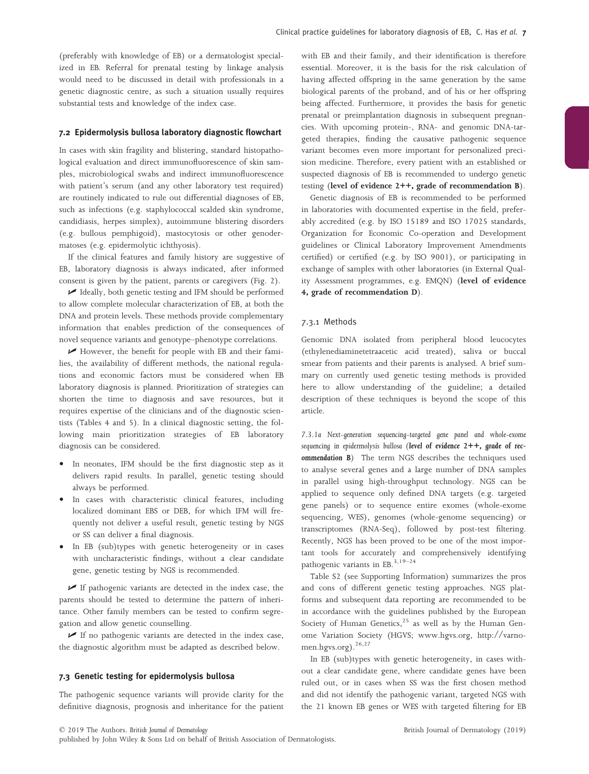(preferably with knowledge of EB) or a dermatologist specialized in EB. Referral for prenatal testing by linkage analysis would need to be discussed in detail with professionals in a genetic diagnostic centre, as such a situation usually requires substantial tests and knowledge of the index case.

#### 7.2 Epidermolysis bullosa laboratory diagnostic flowchart

In cases with skin fragility and blistering, standard histopathological evaluation and direct immunofluorescence of skin samples, microbiological swabs and indirect immunofluorescence with patient's serum (and any other laboratory test required) are routinely indicated to rule out differential diagnoses of EB, such as infections (e.g. staphylococcal scalded skin syndrome, candidiasis, herpes simplex), autoimmune blistering disorders (e.g. bullous pemphigoid), mastocytosis or other genodermatoses (e.g. epidermolytic ichthyosis).

If the clinical features and family history are suggestive of EB, laboratory diagnosis is always indicated, after informed consent is given by the patient, parents or caregivers (Fig. 2).

U Ideally, both genetic testing and IFM should be performed to allow complete molecular characterization of EB, at both the DNA and protein levels. These methods provide complementary information that enables prediction of the consequences of novel sequence variants and genotype–phenotype correlations.

U However, the benefit for people with EB and their families, the availability of different methods, the national regulations and economic factors must be considered when EB laboratory diagnosis is planned. Prioritization of strategies can shorten the time to diagnosis and save resources, but it requires expertise of the clinicians and of the diagnostic scientists (Tables 4 and 5). In a clinical diagnostic setting, the following main prioritization strategies of EB laboratory diagnosis can be considered.

- In neonates, IFM should be the first diagnostic step as it delivers rapid results. In parallel, genetic testing should always be performed.
- In cases with characteristic clinical features, including localized dominant EBS or DEB, for which IFM will frequently not deliver a useful result, genetic testing by NGS or SS can deliver a final diagnosis.
- In EB (sub)types with genetic heterogeneity or in cases with uncharacteristic findings, without a clear candidate gene, genetic testing by NGS is recommended.

 $\blacktriangleright$  If pathogenic variants are detected in the index case, the parents should be tested to determine the pattern of inheritance. Other family members can be tested to confirm segregation and allow genetic counselling.

 $\blacktriangleright$  If no pathogenic variants are detected in the index case, the diagnostic algorithm must be adapted as described below.

## 7.3 Genetic testing for epidermolysis bullosa

The pathogenic sequence variants will provide clarity for the definitive diagnosis, prognosis and inheritance for the patient with EB and their family, and their identification is therefore essential. Moreover, it is the basis for the risk calculation of having affected offspring in the same generation by the same biological parents of the proband, and of his or her offspring being affected. Furthermore, it provides the basis for genetic prenatal or preimplantation diagnosis in subsequent pregnancies. With upcoming protein-, RNA- and genomic DNA-targeted therapies, finding the causative pathogenic sequence variant becomes even more important for personalized precision medicine. Therefore, every patient with an established or suspected diagnosis of EB is recommended to undergo genetic testing (level of evidence 2++, grade of recommendation B).

Genetic diagnosis of EB is recommended to be performed in laboratories with documented expertise in the field, preferably accredited (e.g. by ISO 15189 and ISO 17025 standards, Organization for Economic Co-operation and Development guidelines or Clinical Laboratory Improvement Amendments certified) or certified (e.g. by ISO 9001), or participating in exchange of samples with other laboratories (in External Quality Assessment programmes, e.g. EMQN) (level of evidence 4, grade of recommendation D).

## 7.3.1 Methods

Genomic DNA isolated from peripheral blood leucocytes (ethylenediaminetetraacetic acid treated), saliva or buccal smear from patients and their parents is analysed. A brief summary on currently used genetic testing methods is provided here to allow understanding of the guideline; a detailed description of these techniques is beyond the scope of this article.

7.3.1a Next-generation sequencing-targeted gene panel and whole-exome sequencing in epidermolysis bullosa (level of evidence  $2++$ , grade of recommendation B) The term NGS describes the techniques used to analyse several genes and a large number of DNA samples in parallel using high-throughput technology. NGS can be applied to sequence only defined DNA targets (e.g. targeted gene panels) or to sequence entire exomes (whole-exome sequencing, WES), genomes (whole-genome sequencing) or transcriptomes (RNA-Seq), followed by post-test filtering. Recently, NGS has been proved to be one of the most important tools for accurately and comprehensively identifying pathogenic variants in EB.<sup>3,19-24</sup>

Table S2 (see Supporting Information) summarizes the pros and cons of different genetic testing approaches. NGS platforms and subsequent data reporting are recommended to be in accordance with the guidelines published by the European Society of Human Genetics, $25$  as well as by the Human Genome Variation Society (HGVS; [www.hgvs.org,](http://www.hgvs.org) http://varnomen.hgvs.org).<sup>26,27</sup>

In EB (sub)types with genetic heterogeneity, in cases without a clear candidate gene, where candidate genes have been ruled out, or in cases when SS was the first chosen method and did not identify the pathogenic variant, targeted NGS with the 21 known EB genes or WES with targeted filtering for EB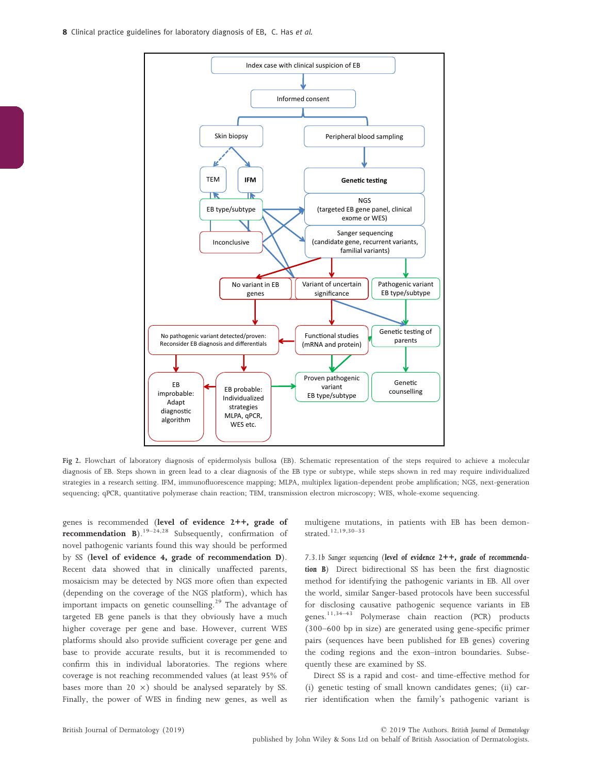

Fig 2. Flowchart of laboratory diagnosis of epidermolysis bullosa (EB). Schematic representation of the steps required to achieve a molecular diagnosis of EB. Steps shown in green lead to a clear diagnosis of the EB type or subtype, while steps shown in red may require individualized strategies in a research setting. IFM, immunofluorescence mapping; MLPA, multiplex ligation-dependent probe amplification; NGS, next-generation sequencing; qPCR, quantitative polymerase chain reaction; TEM, transmission electron microscopy; WES, whole-exome sequencing.

genes is recommended (level of evidence 2++, grade of **recommendation B**).<sup>19–24,28</sup> Subsequently, confirmation of novel pathogenic variants found this way should be performed by SS (level of evidence 4, grade of recommendation D). Recent data showed that in clinically unaffected parents, mosaicism may be detected by NGS more often than expected (depending on the coverage of the NGS platform), which has important impacts on genetic counselling.<sup>29</sup> The advantage of targeted EB gene panels is that they obviously have a much higher coverage per gene and base. However, current WES platforms should also provide sufficient coverage per gene and base to provide accurate results, but it is recommended to confirm this in individual laboratories. The regions where coverage is not reaching recommended values (at least 95% of bases more than  $20 \times$ ) should be analysed separately by SS. Finally, the power of WES in finding new genes, as well as

multigene mutations, in patients with EB has been demonstrated.12,19,30–<sup>33</sup>

7.3.1b Sanger sequencing (level of evidence 2++, grade of recommendation B) Direct bidirectional SS has been the first diagnostic method for identifying the pathogenic variants in EB. All over the world, similar Sanger-based protocols have been successful for disclosing causative pathogenic sequence variants in EB genes.11,34–<sup>43</sup> Polymerase chain reaction (PCR) products (300–600 bp in size) are generated using gene-specific primer pairs (sequences have been published for EB genes) covering the coding regions and the exon–intron boundaries. Subsequently these are examined by SS.

Direct SS is a rapid and cost- and time-effective method for (i) genetic testing of small known candidates genes; (ii) carrier identification when the family's pathogenic variant is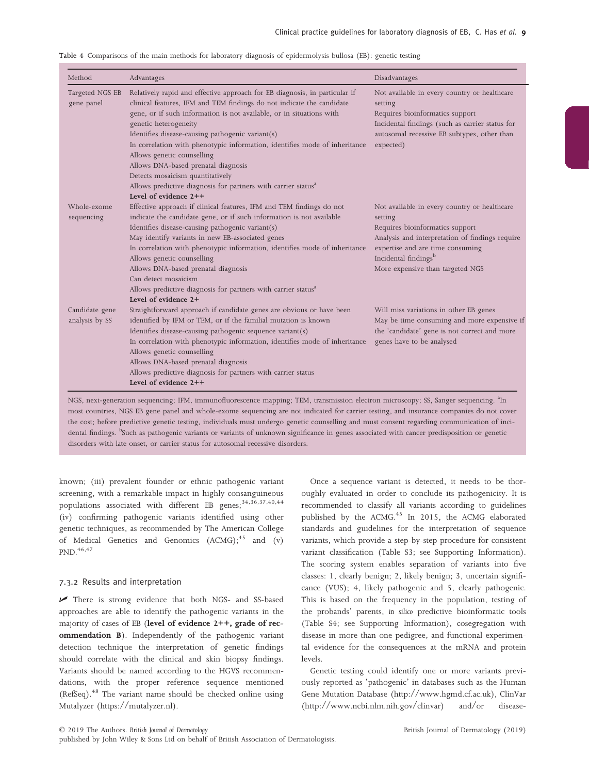|  |  |  |  | Table 4 Comparisons of the main methods for laboratory diagnosis of epidermolysis bullosa (EB): genetic testing |  |  |
|--|--|--|--|-----------------------------------------------------------------------------------------------------------------|--|--|
|  |  |  |  |                                                                                                                 |  |  |

| Method                           | Advantages                                                                                                                                                                                                                                                                                                                                                                                                                                                                                                                                                                                              | Disadvantages                                                                                                                                                                                                                                             |
|----------------------------------|---------------------------------------------------------------------------------------------------------------------------------------------------------------------------------------------------------------------------------------------------------------------------------------------------------------------------------------------------------------------------------------------------------------------------------------------------------------------------------------------------------------------------------------------------------------------------------------------------------|-----------------------------------------------------------------------------------------------------------------------------------------------------------------------------------------------------------------------------------------------------------|
| Targeted NGS EB<br>gene panel    | Relatively rapid and effective approach for EB diagnosis, in particular if<br>clinical features, IFM and TEM findings do not indicate the candidate<br>gene, or if such information is not available, or in situations with<br>genetic heterogeneity<br>Identifies disease-causing pathogenic variant(s)<br>In correlation with phenotypic information, identifies mode of inheritance<br>Allows genetic counselling<br>Allows DNA-based prenatal diagnosis<br>Detects mosaicism quantitatively<br>Allows predictive diagnosis for partners with carrier status <sup>a</sup><br>Level of evidence $2++$ | Not available in every country or healthcare<br>setting<br>Requires bioinformatics support<br>Incidental findings (such as carrier status for<br>autosomal recessive EB subtypes, other than<br>expected)                                                 |
| Whole-exome<br>sequencing        | Effective approach if clinical features, IFM and TEM findings do not<br>indicate the candidate gene, or if such information is not available<br>Identifies disease-causing pathogenic variant(s)<br>May identify variants in new EB-associated genes<br>In correlation with phenotypic information, identifies mode of inheritance<br>Allows genetic counselling<br>Allows DNA-based prenatal diagnosis<br>Can detect mosaicism<br>Allows predictive diagnosis for partners with carrier status <sup>a</sup><br>Level of evidence 2+                                                                    | Not available in every country or healthcare<br>setting<br>Requires bioinformatics support<br>Analysis and interpretation of findings require<br>expertise and are time consuming<br>Incidental findings <sup>b</sup><br>More expensive than targeted NGS |
| Candidate gene<br>analysis by SS | Straightforward approach if candidate genes are obvious or have been<br>identified by IFM or TEM, or if the familial mutation is known<br>Identifies disease-causing pathogenic sequence variant(s)<br>In correlation with phenotypic information, identifies mode of inheritance<br>Allows genetic counselling<br>Allows DNA-based prenatal diagnosis<br>Allows predictive diagnosis for partners with carrier status<br>Level of evidence 2++                                                                                                                                                         | Will miss variations in other EB genes<br>May be time consuming and more expensive if<br>the 'candidate' gene is not correct and more<br>genes have to be analysed                                                                                        |

most countries, NGS EB gene panel and whole-exome sequencing are not indicated for carrier testing, and insurance companies do not cover the cost; before predictive genetic testing, individuals must undergo genetic counselling and must consent regarding communication of incidental findings. <sup>b</sup>Such as pathogenic variants or variants of unknown significance in genes associated with cancer predisposition or genetic disorders with late onset, or carrier status for autosomal recessive disorders.

known; (iii) prevalent founder or ethnic pathogenic variant screening, with a remarkable impact in highly consanguineous populations associated with different EB genes;<sup>34,36,37,40,44</sup> (iv) confirming pathogenic variants identified using other genetic techniques, as recommended by The American College of Medical Genetics and Genomics (ACMG);<sup>45</sup> and (v) PND.<sup>46,47</sup>

#### 7.3.2 Results and interpretation

U There is strong evidence that both NGS- and SS-based approaches are able to identify the pathogenic variants in the majority of cases of EB (level of evidence 2++, grade of recommendation B). Independently of the pathogenic variant detection technique the interpretation of genetic findings should correlate with the clinical and skin biopsy findings. Variants should be named according to the HGVS recommendations, with the proper reference sequence mentioned (RefSeq).<sup>48</sup> The variant name should be checked online using Mutalyzer [\(https://mutalyzer.nl\)](https://mutalyzer.nl).

Once a sequence variant is detected, it needs to be thoroughly evaluated in order to conclude its pathogenicity. It is recommended to classify all variants according to guidelines published by the ACMG.<sup>45</sup> In 2015, the ACMG elaborated standards and guidelines for the interpretation of sequence variants, which provide a step-by-step procedure for consistent variant classification (Table S3; see Supporting Information). The scoring system enables separation of variants into five classes: 1, clearly benign; 2, likely benign; 3, uncertain significance (VUS); 4, likely pathogenic and 5, clearly pathogenic. This is based on the frequency in the population, testing of the probands' parents, in silico predictive bioinformatic tools (Table S4; see Supporting Information), cosegregation with disease in more than one pedigree, and functional experimental evidence for the consequences at the mRNA and protein levels.

Genetic testing could identify one or more variants previously reported as 'pathogenic' in databases such as the Human Gene Mutation Database [\(http://www.hgmd.cf.ac.uk\)](http://www.hgmd.cf.ac.uk), ClinVar [\(http://www.ncbi.nlm.nih.gov/clinvar\)](http://www.ncbi.nlm.nih.gov/clinvar) and/or disease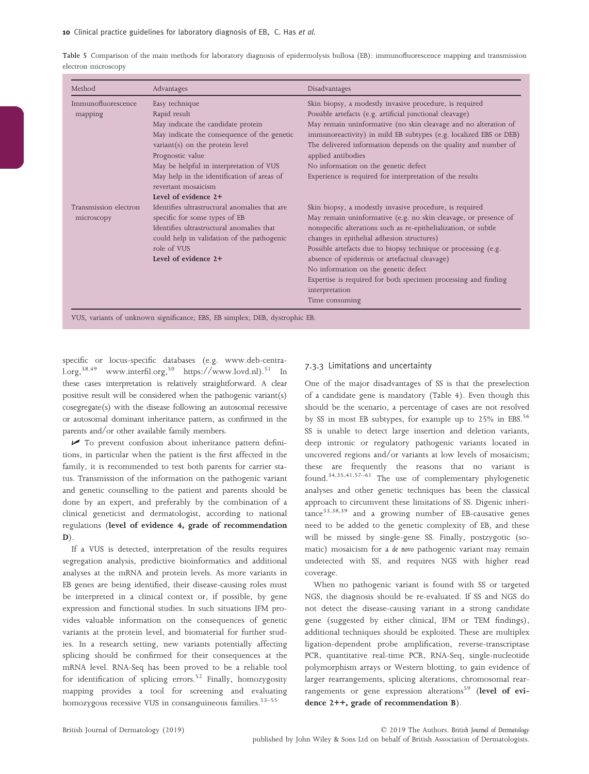Table 5 Comparison of the main methods for laboratory diagnosis of epidermolysis bullosa (EB): immunofluorescence mapping and transmission electron microscopy

| Method                | Advantages                                    | Disadvantages                                                     |
|-----------------------|-----------------------------------------------|-------------------------------------------------------------------|
| Immunofluorescence    | Easy technique                                | Skin biopsy, a modestly invasive procedure, is required           |
| mapping               | Rapid result                                  | Possible artefacts (e.g. artificial junctional cleavage)          |
|                       | May indicate the candidate protein            | May remain uninformative (no skin cleavage and no alteration of   |
|                       | May indicate the consequence of the genetic   | immunoreactivity) in mild EB subtypes (e.g. localized EBS or DEB) |
|                       | $variant(s)$ on the protein level             | The delivered information depends on the quality and number of    |
|                       | Prognostic value                              | applied antibodies                                                |
|                       | May be helpful in interpretation of VUS       | No information on the genetic defect                              |
|                       | May help in the identification of areas of    | Experience is required for interpretation of the results          |
|                       | revertant mosaicism                           |                                                                   |
|                       | Level of evidence 2+                          |                                                                   |
| Transmission electron | Identifies ultrastructural anomalies that are | Skin biopsy, a modestly invasive procedure, is required           |
| microscopy            | specific for some types of EB                 | May remain uninformative (e.g. no skin cleavage, or presence of   |
|                       | Identifies ultrastructural anomalies that     | nonspecific alterations such as re-epithelialization, or subtle   |
|                       | could help in validation of the pathogenic    | changes in epithelial adhesion structures)                        |
|                       | role of VUS                                   | Possible artefacts due to biopsy technique or processing (e.g.    |
|                       | Level of evidence 2+                          | absence of epidermis or artefactual cleavage)                     |
|                       |                                               | No information on the genetic defect                              |
|                       |                                               | Expertise is required for both specimen processing and finding    |
|                       |                                               | interpretation                                                    |
|                       |                                               | Time consuming                                                    |

specific or locus-specific databases (e.g. www.deb-central.org,<sup>38,49</sup> www.interfil.org,<sup>50</sup> https://www.lovd.nl).<sup>51</sup> In these cases interpretation is relatively straightforward. A clear positive result will be considered when the pathogenic variant(s) cosegregate(s) with the disease following an autosomal recessive or autosomal dominant inheritance pattern, as confirmed in the parents and/or other available family members.

 $\triangleright$  To prevent confusion about inheritance pattern definitions, in particular when the patient is the first affected in the family, it is recommended to test both parents for carrier status. Transmission of the information on the pathogenic variant and genetic counselling to the patient and parents should be done by an expert, and preferably by the combination of a clinical geneticist and dermatologist, according to national regulations (level of evidence 4, grade of recommendation  $D$ ).

If a VUS is detected, interpretation of the results requires segregation analysis, predictive bioinformatics and additional analyses at the mRNA and protein levels. As more variants in EB genes are being identified, their disease-causing roles must be interpreted in a clinical context or, if possible, by gene expression and functional studies. In such situations IFM provides valuable information on the consequences of genetic variants at the protein level, and biomaterial for further studies. In a research setting, new variants potentially affecting splicing should be confirmed for their consequences at the mRNA level. RNA-Seq has been proved to be a reliable tool for identification of splicing errors.<sup>52</sup> Finally, homozygosity mapping provides a tool for screening and evaluating homozygous recessive VUS in consanguineous families.<sup>53-55</sup>

## 7.3.3 Limitations and uncertainty

One of the major disadvantages of SS is that the preselection of a candidate gene is mandatory (Table 4). Even though this should be the scenario, a percentage of cases are not resolved by SS in most EB subtypes, for example up to  $25\%$  in EBS.<sup>56</sup> SS is unable to detect large insertion and deletion variants, deep intronic or regulatory pathogenic variants located in uncovered regions and/or variants at low levels of mosaicism; these are frequently the reasons that no variant is found.34,35,41,57–<sup>61</sup> The use of complementary phylogenetic analyses and other genetic techniques has been the classical approach to circumvent these limitations of SS. Digenic inheri $tance<sup>33,38,39</sup>$  and a growing number of EB-causative genes need to be added to the genetic complexity of EB, and these will be missed by single-gene SS. Finally, postzygotic (somatic) mosaicism for a de novo pathogenic variant may remain undetected with SS, and requires NGS with higher read coverage.

When no pathogenic variant is found with SS or targeted NGS, the diagnosis should be re-evaluated. If SS and NGS do not detect the disease-causing variant in a strong candidate gene (suggested by either clinical, IFM or TEM findings), additional techniques should be exploited. These are multiplex ligation-dependent probe amplification, reverse-transcriptase PCR, quantitative real-time PCR, RNA-Seq, single-nucleotide polymorphism arrays or Western blotting, to gain evidence of larger rearrangements, splicing alterations, chromosomal rearrangements or gene expression alterations<sup>59</sup> (level of evidence 2++, grade of recommendation B).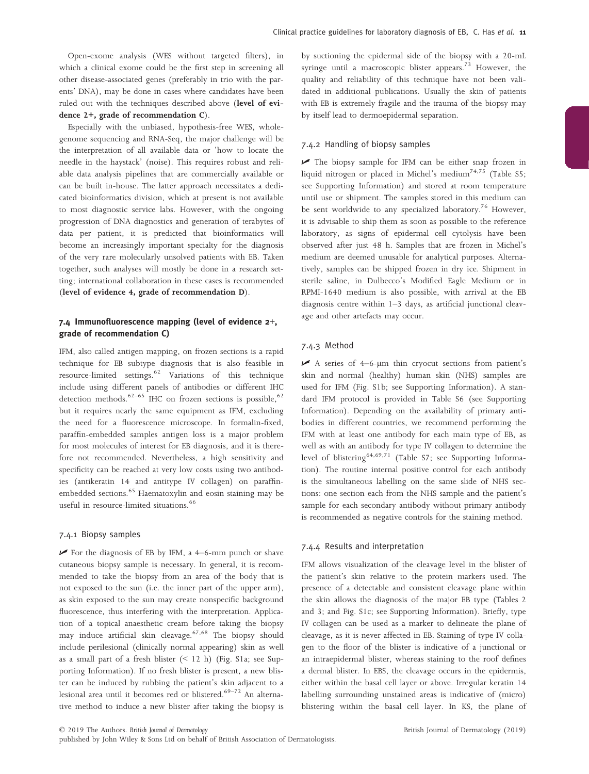Open-exome analysis (WES without targeted filters), in which a clinical exome could be the first step in screening all other disease-associated genes (preferably in trio with the parents' DNA), may be done in cases where candidates have been ruled out with the techniques described above (level of evidence 2+, grade of recommendation C).

Especially with the unbiased, hypothesis-free WES, wholegenome sequencing and RNA-Seq, the major challenge will be the interpretation of all available data or 'how to locate the needle in the haystack' (noise). This requires robust and reliable data analysis pipelines that are commercially available or can be built in-house. The latter approach necessitates a dedicated bioinformatics division, which at present is not available to most diagnostic service labs. However, with the ongoing progression of DNA diagnostics and generation of terabytes of data per patient, it is predicted that bioinformatics will become an increasingly important specialty for the diagnosis of the very rare molecularly unsolved patients with EB. Taken together, such analyses will mostly be done in a research setting; international collaboration in these cases is recommended (level of evidence 4, grade of recommendation D).

# 7.4 Immunofluorescence mapping (level of evidence 2+, grade of recommendation C)

IFM, also called antigen mapping, on frozen sections is a rapid technique for EB subtype diagnosis that is also feasible in resource-limited settings.<sup>62</sup> Variations of this technique include using different panels of antibodies or different IHC detection methods.<sup>62–65</sup> IHC on frozen sections is possible,<sup>62</sup> but it requires nearly the same equipment as IFM, excluding the need for a fluorescence microscope. In formalin-fixed, paraffin-embedded samples antigen loss is a major problem for most molecules of interest for EB diagnosis, and it is therefore not recommended. Nevertheless, a high sensitivity and specificity can be reached at very low costs using two antibodies (antikeratin 14 and antitype IV collagen) on paraffinembedded sections.<sup>65</sup> Haematoxylin and eosin staining may be useful in resource-limited situations.<sup>66</sup>

#### 7.4.1 Biopsy samples

 $\blacktriangleright$  For the diagnosis of EB by IFM, a 4–6-mm punch or shave cutaneous biopsy sample is necessary. In general, it is recommended to take the biopsy from an area of the body that is not exposed to the sun (i.e. the inner part of the upper arm), as skin exposed to the sun may create nonspecific background fluorescence, thus interfering with the interpretation. Application of a topical anaesthetic cream before taking the biopsy may induce artificial skin cleavage.<sup>67,68</sup> The biopsy should include perilesional (clinically normal appearing) skin as well as a small part of a fresh blister  $($  12 h) (Fig. S1a; see Supporting Information). If no fresh blister is present, a new blister can be induced by rubbing the patient's skin adjacent to a lesional area until it becomes red or blistered.<sup>69-72</sup> An alternative method to induce a new blister after taking the biopsy is

by suctioning the epidermal side of the biopsy with a 20-mL syringe until a macroscopic blister appears.<sup>73</sup> However, the quality and reliability of this technique have not been validated in additional publications. Usually the skin of patients with EB is extremely fragile and the trauma of the biopsy may by itself lead to dermoepidermal separation.

## 7.4.2 Handling of biopsy samples

 $\blacktriangleright$  The biopsy sample for IFM can be either snap frozen in liquid nitrogen or placed in Michel's medium<sup>74,75</sup> (Table S5; see Supporting Information) and stored at room temperature until use or shipment. The samples stored in this medium can be sent worldwide to any specialized laboratory.<sup>76</sup> However, it is advisable to ship them as soon as possible to the reference laboratory, as signs of epidermal cell cytolysis have been observed after just 48 h. Samples that are frozen in Michel's medium are deemed unusable for analytical purposes. Alternatively, samples can be shipped frozen in dry ice. Shipment in sterile saline, in Dulbecco's Modified Eagle Medium or in RPMI-1640 medium is also possible, with arrival at the EB diagnosis centre within 1–3 days, as artificial junctional cleavage and other artefacts may occur.

## 7.4.3 Method

 $\angle$  A series of 4–6-µm thin cryocut sections from patient's skin and normal (healthy) human skin (NHS) samples are used for IFM (Fig. S1b; see Supporting Information). A standard IFM protocol is provided in Table S6 (see Supporting Information). Depending on the availability of primary antibodies in different countries, we recommend performing the IFM with at least one antibody for each main type of EB, as well as with an antibody for type IV collagen to determine the level of blistering<sup>64,69,71</sup> (Table S7; see Supporting Information). The routine internal positive control for each antibody is the simultaneous labelling on the same slide of NHS sections: one section each from the NHS sample and the patient's sample for each secondary antibody without primary antibody is recommended as negative controls for the staining method.

#### 7.4.4 Results and interpretation

IFM allows visualization of the cleavage level in the blister of the patient's skin relative to the protein markers used. The presence of a detectable and consistent cleavage plane within the skin allows the diagnosis of the major EB type (Tables 2 and 3; and Fig. S1c; see Supporting Information). Briefly, type IV collagen can be used as a marker to delineate the plane of cleavage, as it is never affected in EB. Staining of type IV collagen to the floor of the blister is indicative of a junctional or an intraepidermal blister, whereas staining to the roof defines a dermal blister. In EBS, the cleavage occurs in the epidermis, either within the basal cell layer or above. Irregular keratin 14 labelling surrounding unstained areas is indicative of (micro) blistering within the basal cell layer. In KS, the plane of

published by John Wiley & Sons Ltd on behalf of British Association of Dermatologists.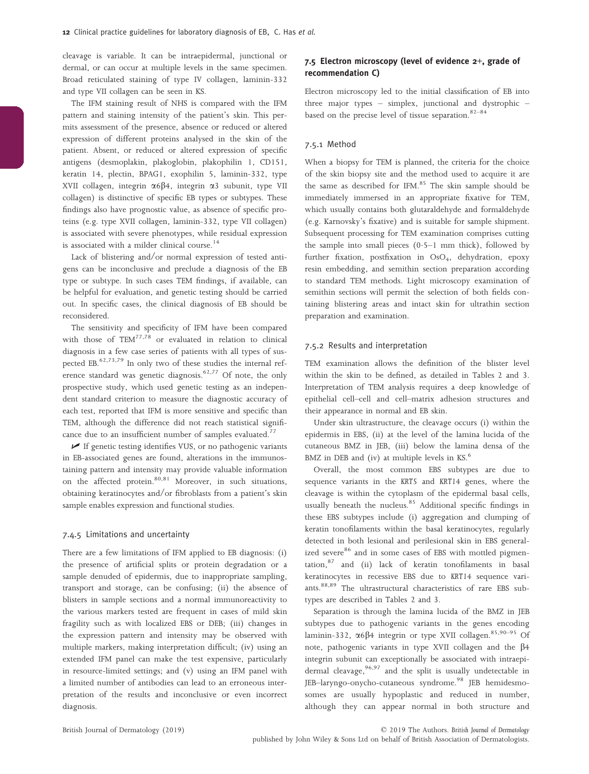cleavage is variable. It can be intraepidermal, junctional or dermal, or can occur at multiple levels in the same specimen. Broad reticulated staining of type IV collagen, laminin-332 and type VII collagen can be seen in KS.

The IFM staining result of NHS is compared with the IFM pattern and staining intensity of the patient's skin. This permits assessment of the presence, absence or reduced or altered expression of different proteins analysed in the skin of the patient. Absent, or reduced or altered expression of specific antigens (desmoplakin, plakoglobin, plakophilin 1, CD151, keratin 14, plectin, BPAG1, exophilin 5, laminin-332, type XVII collagen, integrin  $\alpha 6\beta 4$ , integrin  $\alpha 3$  subunit, type VII collagen) is distinctive of specific EB types or subtypes. These findings also have prognostic value, as absence of specific proteins (e.g. type XVII collagen, laminin-332, type VII collagen) is associated with severe phenotypes, while residual expression is associated with a milder clinical course.<sup>14</sup>

Lack of blistering and/or normal expression of tested antigens can be inconclusive and preclude a diagnosis of the EB type or subtype. In such cases TEM findings, if available, can be helpful for evaluation, and genetic testing should be carried out. In specific cases, the clinical diagnosis of EB should be reconsidered.

The sensitivity and specificity of IFM have been compared with those of  $TEM^{77,78}$  or evaluated in relation to clinical diagnosis in a few case series of patients with all types of suspected EB. $62,73,79$  In only two of these studies the internal reference standard was genetic diagnosis.<sup>62,77</sup> Of note, the only prospective study, which used genetic testing as an independent standard criterion to measure the diagnostic accuracy of each test, reported that IFM is more sensitive and specific than TEM, although the difference did not reach statistical significance due to an insufficient number of samples evaluated.<sup>77</sup>

 $\blacktriangleright$  If genetic testing identifies VUS, or no pathogenic variants in EB-associated genes are found, alterations in the immunostaining pattern and intensity may provide valuable information on the affected protein.<sup>80,81</sup> Moreover, in such situations, obtaining keratinocytes and/or fibroblasts from a patient's skin sample enables expression and functional studies.

#### 7.4.5 Limitations and uncertainty

There are a few limitations of IFM applied to EB diagnosis: (i) the presence of artificial splits or protein degradation or a sample denuded of epidermis, due to inappropriate sampling, transport and storage, can be confusing; (ii) the absence of blisters in sample sections and a normal immunoreactivity to the various markers tested are frequent in cases of mild skin fragility such as with localized EBS or DEB; (iii) changes in the expression pattern and intensity may be observed with multiple markers, making interpretation difficult; (iv) using an extended IFM panel can make the test expensive, particularly in resource-limited settings; and (v) using an IFM panel with a limited number of antibodies can lead to an erroneous interpretation of the results and inconclusive or even incorrect diagnosis.

## 7.5 Electron microscopy (level of evidence 2+, grade of recommendation C)

Electron microscopy led to the initial classification of EB into three major types – simplex, junctional and dystrophic – based on the precise level of tissue separation. $82-84$ 

## 7.5.1 Method

When a biopsy for TEM is planned, the criteria for the choice of the skin biopsy site and the method used to acquire it are the same as described for IFM.<sup>85</sup> The skin sample should be immediately immersed in an appropriate fixative for TEM, which usually contains both glutaraldehyde and formaldehyde (e.g. Karnovsky's fixative) and is suitable for sample shipment. Subsequent processing for TEM examination comprises cutting the sample into small pieces  $(0.5-1 \text{ mm thick})$ , followed by further fixation, postfixation in OsO<sub>4</sub>, dehydration, epoxy resin embedding, and semithin section preparation according to standard TEM methods. Light microscopy examination of semithin sections will permit the selection of both fields containing blistering areas and intact skin for ultrathin section preparation and examination.

#### 7.5.2 Results and interpretation

TEM examination allows the definition of the blister level within the skin to be defined, as detailed in Tables 2 and 3. Interpretation of TEM analysis requires a deep knowledge of epithelial cell–cell and cell–matrix adhesion structures and their appearance in normal and EB skin.

Under skin ultrastructure, the cleavage occurs (i) within the epidermis in EBS, (ii) at the level of the lamina lucida of the cutaneous BMZ in JEB, (iii) below the lamina densa of the BMZ in DEB and (iv) at multiple levels in KS.<sup>6</sup>

Overall, the most common EBS subtypes are due to sequence variants in the KRT5 and KRT14 genes, where the cleavage is within the cytoplasm of the epidermal basal cells, usually beneath the nucleus.<sup>85</sup> Additional specific findings in these EBS subtypes include (i) aggregation and clumping of keratin tonofilaments within the basal keratinocytes, regularly detected in both lesional and perilesional skin in EBS generalized severe<sup>86</sup> and in some cases of EBS with mottled pigmentation,<sup>87</sup> and (ii) lack of keratin tonofilaments in basal keratinocytes in recessive EBS due to KRT14 sequence variants.<sup>88,89</sup> The ultrastructural characteristics of rare EBS subtypes are described in Tables 2 and 3.

Separation is through the lamina lucida of the BMZ in JEB subtypes due to pathogenic variants in the genes encoding laminin-332,  $\alpha$ 6 $\beta$ 4 integrin or type XVII collagen.<sup>85,90-95</sup> Of note, pathogenic variants in type XVII collagen and the  $\beta$ 4 integrin subunit can exceptionally be associated with intraepidermal cleavage,<sup>96,97</sup> and the split is usually undetectable in JEB-laryngo-onycho-cutaneous syndrome.<sup>98</sup> JEB hemidesmosomes are usually hypoplastic and reduced in number, although they can appear normal in both structure and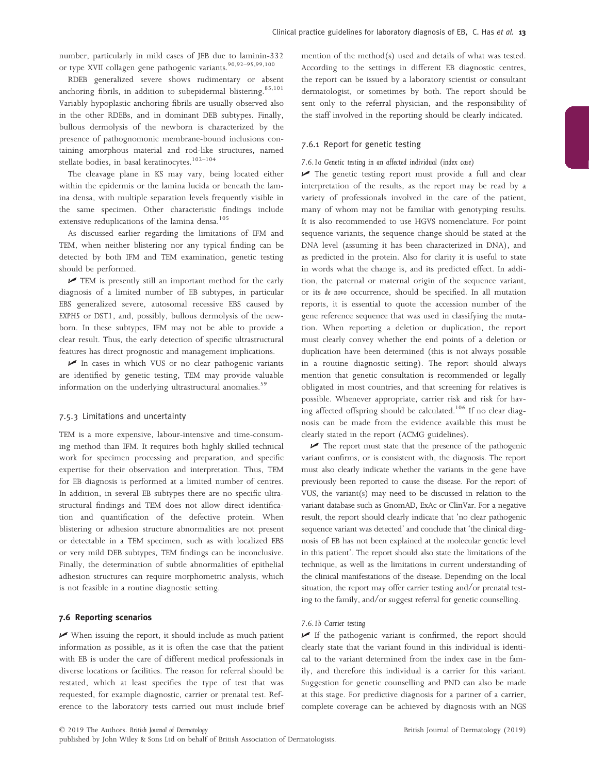number, particularly in mild cases of JEB due to laminin-332 or type XVII collagen gene pathogenic variants.<sup>90,92–95,99,100</sup>

RDEB generalized severe shows rudimentary or absent anchoring fibrils, in addition to subepidermal blistering.<sup>85,101</sup> Variably hypoplastic anchoring fibrils are usually observed also in the other RDEBs, and in dominant DEB subtypes. Finally, bullous dermolysis of the newborn is characterized by the presence of pathognomonic membrane-bound inclusions containing amorphous material and rod-like structures, named stellate bodies, in basal keratinocytes.<sup>102-104</sup>

The cleavage plane in KS may vary, being located either within the epidermis or the lamina lucida or beneath the lamina densa, with multiple separation levels frequently visible in the same specimen. Other characteristic findings include extensive reduplications of the lamina densa.<sup>105</sup>

As discussed earlier regarding the limitations of IFM and TEM, when neither blistering nor any typical finding can be detected by both IFM and TEM examination, genetic testing should be performed.

 $\blacktriangleright$  TEM is presently still an important method for the early diagnosis of a limited number of EB subtypes, in particular EBS generalized severe, autosomal recessive EBS caused by EXPH5 or DST1, and, possibly, bullous dermolysis of the newborn. In these subtypes, IFM may not be able to provide a clear result. Thus, the early detection of specific ultrastructural features has direct prognostic and management implications.

 $\triangleright$  In cases in which VUS or no clear pathogenic variants are identified by genetic testing, TEM may provide valuable information on the underlying ultrastructural anomalies.<sup>59</sup>

#### 7.5.3 Limitations and uncertainty

TEM is a more expensive, labour-intensive and time-consuming method than IFM. It requires both highly skilled technical work for specimen processing and preparation, and specific expertise for their observation and interpretation. Thus, TEM for EB diagnosis is performed at a limited number of centres. In addition, in several EB subtypes there are no specific ultrastructural findings and TEM does not allow direct identification and quantification of the defective protein. When blistering or adhesion structure abnormalities are not present or detectable in a TEM specimen, such as with localized EBS or very mild DEB subtypes, TEM findings can be inconclusive. Finally, the determination of subtle abnormalities of epithelial adhesion structures can require morphometric analysis, which is not feasible in a routine diagnostic setting.

## 7.6 Reporting scenarios

 $\blacktriangleright$  When issuing the report, it should include as much patient information as possible, as it is often the case that the patient with EB is under the care of different medical professionals in diverse locations or facilities. The reason for referral should be restated, which at least specifies the type of test that was requested, for example diagnostic, carrier or prenatal test. Reference to the laboratory tests carried out must include brief mention of the method(s) used and details of what was tested. According to the settings in different EB diagnostic centres, the report can be issued by a laboratory scientist or consultant dermatologist, or sometimes by both. The report should be sent only to the referral physician, and the responsibility of the staff involved in the reporting should be clearly indicated.

## 7.6.1 Report for genetic testing

#### 7.6.1a Genetic testing in an affected individual (index case)

 $\blacktriangleright$  The genetic testing report must provide a full and clear interpretation of the results, as the report may be read by a variety of professionals involved in the care of the patient, many of whom may not be familiar with genotyping results. It is also recommended to use HGVS nomenclature. For point sequence variants, the sequence change should be stated at the DNA level (assuming it has been characterized in DNA), and as predicted in the protein. Also for clarity it is useful to state in words what the change is, and its predicted effect. In addition, the paternal or maternal origin of the sequence variant, or its de novo occurrence, should be specified. In all mutation reports, it is essential to quote the accession number of the gene reference sequence that was used in classifying the mutation. When reporting a deletion or duplication, the report must clearly convey whether the end points of a deletion or duplication have been determined (this is not always possible in a routine diagnostic setting). The report should always mention that genetic consultation is recommended or legally obligated in most countries, and that screening for relatives is possible. Whenever appropriate, carrier risk and risk for having affected offspring should be calculated.<sup>106</sup> If no clear diagnosis can be made from the evidence available this must be clearly stated in the report (ACMG guidelines).

 $\blacktriangleright$  The report must state that the presence of the pathogenic variant confirms, or is consistent with, the diagnosis. The report must also clearly indicate whether the variants in the gene have previously been reported to cause the disease. For the report of VUS, the variant(s) may need to be discussed in relation to the variant database such as GnomAD, ExAc or ClinVar. For a negative result, the report should clearly indicate that 'no clear pathogenic sequence variant was detected' and conclude that 'the clinical diagnosis of EB has not been explained at the molecular genetic level in this patient'. The report should also state the limitations of the technique, as well as the limitations in current understanding of the clinical manifestations of the disease. Depending on the local situation, the report may offer carrier testing and/or prenatal testing to the family, and/or suggest referral for genetic counselling.

## 7.6.1b Carrier testing

 $\blacktriangleright$  If the pathogenic variant is confirmed, the report should clearly state that the variant found in this individual is identical to the variant determined from the index case in the family, and therefore this individual is a carrier for this variant. Suggestion for genetic counselling and PND can also be made at this stage. For predictive diagnosis for a partner of a carrier, complete coverage can be achieved by diagnosis with an NGS

published by John Wiley & Sons Ltd on behalf of British Association of Dermatologists.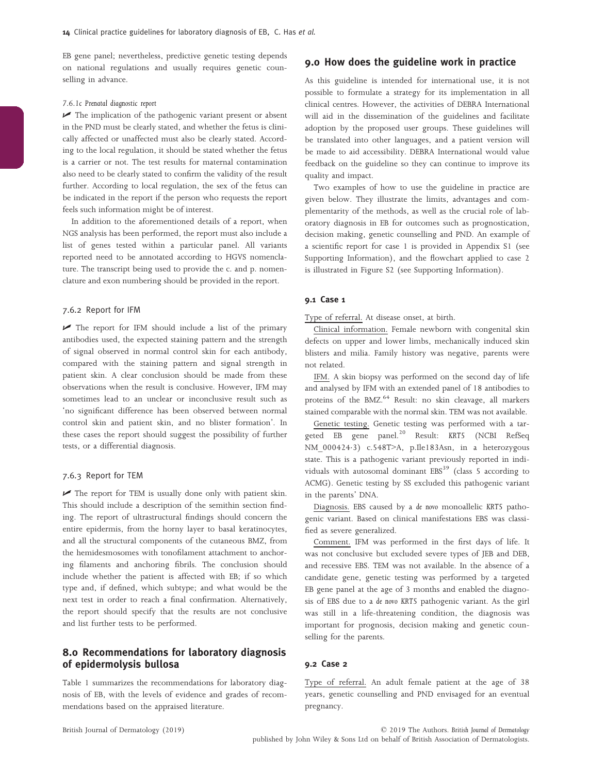EB gene panel; nevertheless, predictive genetic testing depends on national regulations and usually requires genetic counselling in advance.

#### 7.6.1c Prenatal diagnostic report

 $\triangleright$  The implication of the pathogenic variant present or absent in the PND must be clearly stated, and whether the fetus is clinically affected or unaffected must also be clearly stated. According to the local regulation, it should be stated whether the fetus is a carrier or not. The test results for maternal contamination also need to be clearly stated to confirm the validity of the result further. According to local regulation, the sex of the fetus can be indicated in the report if the person who requests the report feels such information might be of interest.

In addition to the aforementioned details of a report, when NGS analysis has been performed, the report must also include a list of genes tested within a particular panel. All variants reported need to be annotated according to HGVS nomenclature. The transcript being used to provide the c. and p. nomenclature and exon numbering should be provided in the report.

#### 7.6.2 Report for IFM

 $\blacktriangleright$  The report for IFM should include a list of the primary antibodies used, the expected staining pattern and the strength of signal observed in normal control skin for each antibody, compared with the staining pattern and signal strength in patient skin. A clear conclusion should be made from these observations when the result is conclusive. However, IFM may sometimes lead to an unclear or inconclusive result such as 'no significant difference has been observed between normal control skin and patient skin, and no blister formation'. In these cases the report should suggest the possibility of further tests, or a differential diagnosis.

## 7.6.3 Report for TEM

 $\triangleright$  The report for TEM is usually done only with patient skin. This should include a description of the semithin section finding. The report of ultrastructural findings should concern the entire epidermis, from the horny layer to basal keratinocytes, and all the structural components of the cutaneous BMZ, from the hemidesmosomes with tonofilament attachment to anchoring filaments and anchoring fibrils. The conclusion should include whether the patient is affected with EB; if so which type and, if defined, which subtype; and what would be the next test in order to reach a final confirmation. Alternatively, the report should specify that the results are not conclusive and list further tests to be performed.

# 8.0 Recommendations for laboratory diagnosis of epidermolysis bullosa

Table 1 summarizes the recommendations for laboratory diagnosis of EB, with the levels of evidence and grades of recommendations based on the appraised literature.

# 9.0 How does the guideline work in practice

As this guideline is intended for international use, it is not possible to formulate a strategy for its implementation in all clinical centres. However, the activities of DEBRA International will aid in the dissemination of the guidelines and facilitate adoption by the proposed user groups. These guidelines will be translated into other languages, and a patient version will be made to aid accessibility. DEBRA International would value feedback on the guideline so they can continue to improve its quality and impact.

Two examples of how to use the guideline in practice are given below. They illustrate the limits, advantages and complementarity of the methods, as well as the crucial role of laboratory diagnosis in EB for outcomes such as prognostication, decision making, genetic counselling and PND. An example of a scientific report for case 1 is provided in Appendix S1 (see Supporting Information), and the flowchart applied to case 2 is illustrated in Figure S2 (see Supporting Information).

## 9.1 Case 1

Type of referral. At disease onset, at birth.

Clinical information. Female newborn with congenital skin defects on upper and lower limbs, mechanically induced skin blisters and milia. Family history was negative, parents were not related.

IFM. A skin biopsy was performed on the second day of life and analysed by IFM with an extended panel of 18 antibodies to proteins of the BMZ.<sup>64</sup> Result: no skin cleavage, all markers stained comparable with the normal skin. TEM was not available.

Genetic testing. Genetic testing was performed with a targeted EB gene panel.<sup>20</sup> Result: KRT5 (NCBI RefSeq NM 000424.3) c.548T>A, p.Ile183Asn, in a heterozygous state. This is a pathogenic variant previously reported in individuals with autosomal dominant  $EBS<sup>39</sup>$  (class 5 according to ACMG). Genetic testing by SS excluded this pathogenic variant in the parents' DNA.

Diagnosis. EBS caused by a de novo monoallelic KRT5 pathogenic variant. Based on clinical manifestations EBS was classified as severe generalized.

Comment. IFM was performed in the first days of life. It was not conclusive but excluded severe types of JEB and DEB, and recessive EBS. TEM was not available. In the absence of a candidate gene, genetic testing was performed by a targeted EB gene panel at the age of 3 months and enabled the diagnosis of EBS due to a de novo KRT5 pathogenic variant. As the girl was still in a life-threatening condition, the diagnosis was important for prognosis, decision making and genetic counselling for the parents.

## 9.2 Case 2

Type of referral. An adult female patient at the age of 38 years, genetic counselling and PND envisaged for an eventual pregnancy.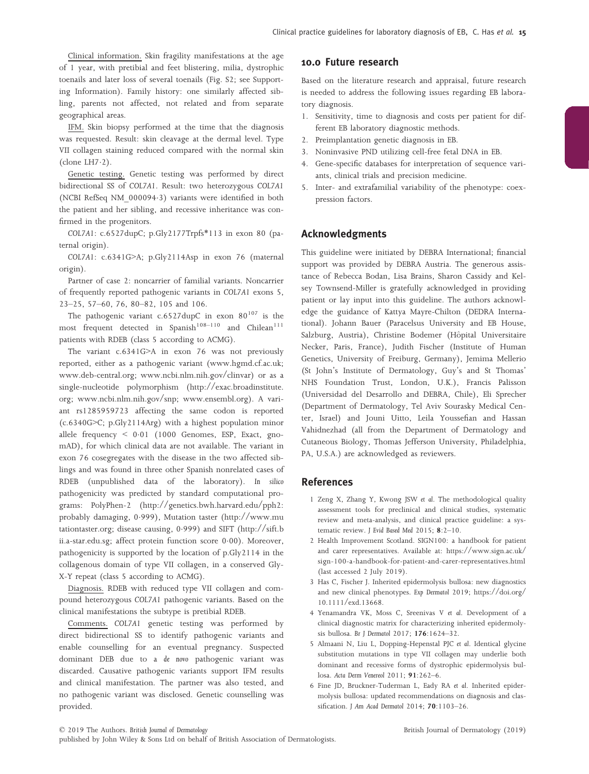Clinical information. Skin fragility manifestations at the age of 1 year, with pretibial and feet blistering, milia, dystrophic toenails and later loss of several toenails (Fig. S2; see Supporting Information). Family history: one similarly affected sibling, parents not affected, not related and from separate geographical areas.

IFM. Skin biopsy performed at the time that the diagnosis was requested. Result: skin cleavage at the dermal level. Type VII collagen staining reduced compared with the normal skin (clone LH $7·2$ ).

Genetic testing. Genetic testing was performed by direct bidirectional SS of COL7A1. Result: two heterozygous COL7A1 (NCBI RefSeq NM\_0000943) variants were identified in both the patient and her sibling, and recessive inheritance was confirmed in the progenitors.

COL7A1: c.6527dupC; p.Gly2177Trpfs\*113 in exon 80 (paternal origin).

COL7A1: c.6341G>A; p.Gly2114Asp in exon 76 (maternal origin).

Partner of case 2: noncarrier of familial variants. Noncarrier of frequently reported pathogenic variants in COL7A1 exons 5, 23–25, 57–60, 76, 80–82, 105 and 106.

The pathogenic variant c.6527dupC in exon  $80^{107}$  is the most frequent detected in  $Spanish^{108-110}$  and Chilean<sup>111</sup> patients with RDEB (class 5 according to ACMG).

The variant c.6341G>A in exon 76 was not previously reported, either as a pathogenic variant [\(www.hgmd.cf.ac.uk](http://www.hgmd.cf.ac.uk); [www.deb-central.org;](http://www.deb-central.org) [www.ncbi.nlm.nih.gov/clinvar\)](http://www.ncbi.nlm.nih.gov/clinvar) or as a single-nucleotide polymorphism ([http://exac.broadinstitute.](http://exac.broadinstitute.org) [org;](http://exac.broadinstitute.org) [www.ncbi.nlm.nih.gov/snp](http://www.ncbi.nlm.nih.gov/snp); [www.ensembl.org](http://www.ensembl.org)). A variant rs1285959723 affecting the same codon is reported (c.6340G>C; p.Gly2114Arg) with a highest population minor allele frequency  $\leq 0.01$  (1000 Genomes, ESP, Exact, gnomAD), for which clinical data are not available. The variant in exon 76 cosegregates with the disease in the two affected siblings and was found in three other Spanish nonrelated cases of RDEB (unpublished data of the laboratory). In silico pathogenicity was predicted by standard computational programs: PolyPhen-2 [\(http://genetics.bwh.harvard.edu/pph2](http://genetics.bwh.harvard.edu/pph2): probably damaging, 0999), Mutation taster ([http://www.mu](http://www.mutationtaster.org) [tationtaster.org](http://www.mutationtaster.org); disease causing, 0999) and SIFT [\(http://sift.b](http://sift.bii.a-star.edu.sg) [ii.a-star.edu.sg;](http://sift.bii.a-star.edu.sg) affect protein function score 0.00). Moreover, pathogenicity is supported by the location of p.Gly2114 in the collagenous domain of type VII collagen, in a conserved Gly-X-Y repeat (class 5 according to ACMG).

Diagnosis. RDEB with reduced type VII collagen and compound heterozygous COL7A1 pathogenic variants. Based on the clinical manifestations the subtype is pretibial RDEB.

Comments. COL7A1 genetic testing was performed by direct bidirectional SS to identify pathogenic variants and enable counselling for an eventual pregnancy. Suspected dominant DEB due to a de novo pathogenic variant was discarded. Causative pathogenic variants support IFM results and clinical manifestation. The partner was also tested, and no pathogenic variant was disclosed. Genetic counselling was provided.

# 10.0 Future research

Based on the literature research and appraisal, future research is needed to address the following issues regarding EB laboratory diagnosis.

- 1. Sensitivity, time to diagnosis and costs per patient for different EB laboratory diagnostic methods.
- 2. Preimplantation genetic diagnosis in EB.
- 3. Noninvasive PND utilizing cell-free fetal DNA in EB.
- 4. Gene-specific databases for interpretation of sequence variants, clinical trials and precision medicine.
- 5. Inter- and extrafamilial variability of the phenotype: coexpression factors.

# Acknowledgments

This guideline were initiated by DEBRA International; financial support was provided by DEBRA Austria. The generous assistance of Rebecca Bodan, Lisa Brains, Sharon Cassidy and Kelsey Townsend-Miller is gratefully acknowledged in providing patient or lay input into this guideline. The authors acknowledge the guidance of Kattya Mayre-Chilton (DEDRA International). Johann Bauer (Paracelsus University and EB House, Salzburg, Austria), Christine Bodemer (Hôpital Universitaire Necker, Paris, France), Judith Fischer (Institute of Human Genetics, University of Freiburg, Germany), Jemima Mellerio (St John's Institute of Dermatology, Guy's and St Thomas' NHS Foundation Trust, London, U.K.), Francis Palisson (Universidad del Desarrollo and DEBRA, Chile), Eli Sprecher (Department of Dermatology, Tel Aviv Sourasky Medical Center, Israel) and Jouni Uitto, Leila Youssefian and Hassan Vahidnezhad (all from the Department of Dermatology and Cutaneous Biology, Thomas Jefferson University, Philadelphia, PA, U.S.A.) are acknowledged as reviewers.

## References

- 1 Zeng X, Zhang Y, Kwong JSW et al. The methodological quality assessment tools for preclinical and clinical studies, systematic review and meta-analysis, and clinical practice guideline: a systematic review. J Evid Based Med 2015; 8:2–10.
- 2 Health Improvement Scotland. SIGN100: a handbook for patient and carer representatives. Available at: [https://www.sign.ac.uk/](https://www.sign.ac.uk/sign-100-a-handbook-for-patient-and-carer-representatives.html) [sign-100-a-handbook-for-patient-and-carer-representatives.html](https://www.sign.ac.uk/sign-100-a-handbook-for-patient-and-carer-representatives.html) (last accessed 2 July 2019).
- 3 Has C, Fischer J. Inherited epidermolysis bullosa: new diagnostics and new clinical phenotypes. Exp Dermatol 2019; [https://doi.org/](https://doi.org/10.1111/exd.13668) [10.1111/exd.13668](https://doi.org/10.1111/exd.13668).
- 4 Yenamandra VK, Moss C, Sreenivas V et al. Development of a clinical diagnostic matrix for characterizing inherited epidermolysis bullosa. Br J Dermatol 2017; 176:1624–32.
- 5 Almaani N, Liu L, Dopping-Hepenstal PJC et al. Identical glycine substitution mutations in type VII collagen may underlie both dominant and recessive forms of dystrophic epidermolysis bullosa. Acta Derm Venereol 2011; 91:262–6.
- 6 Fine JD, Bruckner-Tuderman L, Eady RA et al. Inherited epidermolysis bullosa: updated recommendations on diagnosis and classification. J Am Acad Dermatol 2014; **70**:1103-26.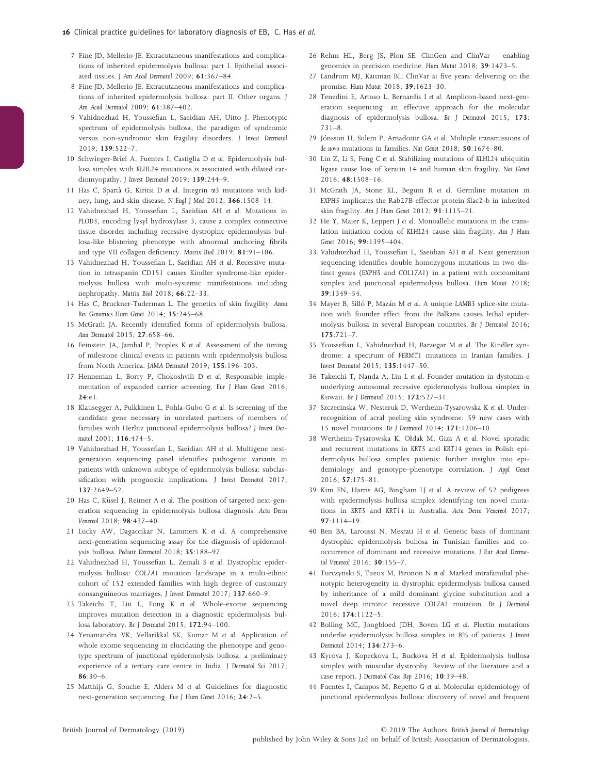- 7 Fine JD, Mellerio JE. Extracutaneous manifestations and complications of inherited epidermolysis bullosa: part I. Epithelial associated tissues. J Am Acad Dermatol 2009; 61:367–84.
- 8 Fine JD, Mellerio JE. Extracutaneous manifestations and complications of inherited epidermolysis bullosa: part II. Other organs. J Am Acad Dermatol 2009; 61:387–402.
- 9 Vahidnezhad H, Youssefian L, Saeidian AH, Uitto J. Phenotypic spectrum of epidermolysis bullosa, the paradigm of syndromic versus non-syndromic skin fragility disorders. J Invest Dermatol 2019; 139:522–7.
- 10 Schwieger-Briel A, Fuentes I, Castiglia D et al. Epidermolysis bullosa simplex with KLHL24 mutations is associated with dilated cardiomyopathy. J Invest Dermatol 2019; 139:244-9.
- 11 Has C, Spartà G, Kiritsi D et al. Integrin  $\alpha$ 3 mutations with kidney, lung, and skin disease. N Engl J Med 2012; 366:1508–14.
- 12 Vahidnezhad H, Youssefian L, Saeidian AH et al. Mutations in PLOD3, encoding lysyl hydroxylase 3, cause a complex connective tissue disorder including recessive dystrophic epidermolysis bullosa-like blistering phenotype with abnormal anchoring fibrils and type VII collagen deficiency. Matrix Biol 2019; 81:91–106.
- 13 Vahidnezhad H, Youssefian L, Saeidian AH et al. Recessive mutation in tetraspanin CD151 causes Kindler syndrome-like epidermolysis bullosa with multi-systemic manifestations including nephropathy. Matrix Biol 2018; 66:22–33.
- 14 Has C, Bruckner-Tuderman L. The genetics of skin fragility. Annu Rev Genomics Hum Genet 2014; 15:245–68.
- 15 McGrath JA. Recently identified forms of epidermolysis bullosa. Ann Dermatol 2015; 27:658–66.
- 16 Feinstein JA, Jambal P, Peoples K et al. Assessment of the timing of milestone clinical events in patients with epidermolysis bullosa from North America. JAMA Dermatol 2019; 155:196–203.
- 17 Henneman L, Borry P, Chokoshvili D et al. Responsible implementation of expanded carrier screening. Eur J Hum Genet 2016; 24:e1.
- 18 Klausegger A, Pulkkinen L, Pohla-Gubo G et al. Is screening of the candidate gene necessary in unrelated partners of members of families with Herlitz junctional epidermolysis bullosa? J Invest Dermatol 2001; 116:474–5.
- 19 Vahidnezhad H, Youssefian L, Saeidian AH et al. Multigene nextgeneration sequencing panel identifies pathogenic variants in patients with unknown subtype of epidermolysis bullosa: subclassification with prognostic implications. J Invest Dermatol 2017; 137:2649–52.
- 20 Has C, Küsel J, Reimer A et al. The position of targeted next-generation sequencing in epidermolysis bullosa diagnosis. Acta Derm Venereol 2018; 98:437–40.
- 21 Lucky AW, Dagaonkar N, Lammers K et al. A comprehensive next-generation sequencing assay for the diagnosis of epidermolysis bullosa. Pediatr Dermatol 2018; 35:188–97.
- 22 Vahidnezhad H, Youssefian L, Zeinali S et al. Dystrophic epidermolysis bullosa: COL7A1 mutation landscape in a multi-ethnic cohort of 152 extended families with high degree of customary consanguineous marriages. J Invest Dermatol 2017; 137:660–9.
- 23 Takeichi T, Liu L, Fong K et al. Whole-exome sequencing improves mutation detection in a diagnostic epidermolysis bullosa laboratory. Br J Dermatol 2015; 172:94–100.
- 24 Yenamandra VK, Vellarikkal SK, Kumar M et al. Application of whole exome sequencing in elucidating the phenotype and genotype spectrum of junctional epidermolysis bullosa: a preliminary experience of a tertiary care centre in India. J Dermatol Sci 2017; 86:30–6.
- 25 Matthijs G, Souche E, Alders M et al. Guidelines for diagnostic next-generation sequencing. Eur J Hum Genet 2016; 24:2–5.
- 26 Rehm HL, Berg JS, Plon SE. ClinGen and ClinVar enabling genomics in precision medicine. Hum Mutat 2018; 39:1473–5.
- 27 Landrum MJ, Kattman BL. ClinVar at five years: delivering on the promise. Hum Mutat 2018; 39:1623–30.
- 28 Tenedini E, Artuso L, Bernardis I et al. Amplicon-based next-generation sequencing: an effective approach for the molecular diagnosis of epidermolysis bullosa. Br J Dermatol 2015; 173: 731–8.
- 29 Jónsson H, Sulem P, Arnadottir GA et al. Multiple transmissions of de novo mutations in families. Nat Genet 2018; 50:1674–80.
- 30 Lin Z, Li S, Feng C et al. Stabilizing mutations of KLHL24 ubiquitin ligase cause loss of keratin 14 and human skin fragility. Nat Genet 2016; 48:1508–16.
- 31 McGrath JA, Stone KL, Begum R et al. Germline mutation in EXPH5 implicates the Rab27B effector protein Slac2-b in inherited skin fragility. Am J Hum Genet 2012; 91:1115–21.
- 32 He Y, Maier K, Leppert J et al. Monoallelic mutations in the translation initiation codon of KLHL24 cause skin fragility. Am J Hum Genet 2016; 99:1395–404.
- 33 Vahidnezhad H, Youssefian L, Saeidian AH et al. Next generation sequencing identifies double homozygous mutations in two distinct genes (EXPH5 and COL17A1) in a patient with concomitant simplex and junctional epidermolysis bullosa. Hum Mutat 2018; 39:1349–54.
- 34 Mayer B, Silló P, Mazán M et al. A unique LAMB3 splice-site mutation with founder effect from the Balkans causes lethal epidermolysis bullosa in several European countries. Br J Dermatol 2016; 175:721–7.
- 35 Youssefian L, Vahidnezhad H, Barzegar M et al. The Kindler syndrome: a spectrum of FERMT1 mutations in Iranian families. J Invest Dermatol 2015; 135:1447–50.
- 36 Takeichi T, Nanda A, Liu L et al. Founder mutation in dystonin-e underlying autosomal recessive epidermolysis bullosa simplex in Kuwait. Br J Dermatol 2015; 172:527–31.
- 37 Szczecinska W, Nesteruk D, Wertheim-Tysarowska K et al. Underrecognition of acral peeling skin syndrome: 59 new cases with 15 novel mutations. Br J Dermatol 2014; 171:1206–10.
- 38 Wertheim-Tysarowska K, Ołdak M, Giza A et al. Novel sporadic and recurrent mutations in KRT5 and KRT14 genes in Polish epidermolysis bullosa simplex patients: further insights into epidemiology and genotype–phenotype correlation. J Appl Genet 2016; 57:175–81.
- Kim EN, Harris AG, Bingham LJ et al. A review of 52 pedigrees with epidermolysis bullosa simplex identifying ten novel mutations in KRT5 and KRT14 in Australia. Acta Derm Venereol 2017; 97:1114–19.
- 40 Ben BA, Laroussi N, Mesrati H et al. Genetic basis of dominant dystrophic epidermolysis bullosa in Tunisian families and cooccurrence of dominant and recessive mutations. J Eur Acad Dermatol Venereol 2016; 30:155–7.
- 41 Turczynski S, Titeux M, Pironon N et al. Marked intrafamilial phenotypic heterogeneity in dystrophic epidermolysis bullosa caused by inheritance of a mild dominant glycine substitution and a novel deep intronic recessive COL7A1 mutation. Br J Dermatol 2016; 174:1122–5.
- 42 Bolling MC, Jongbloed JDH, Boven LG et al. Plectin mutations underlie epidermolysis bullosa simplex in 8% of patients. J Invest Dermatol 2014; 134:273–6.
- 43 Kyrova J, Kopeckova L, Buckova H et al. Epidermolysis bullosa simplex with muscular dystrophy. Review of the literature and a case report. J Dermatol Case Rep 2016; 10:39–48.
- 44 Fuentes I, Campos M, Repetto G et al. Molecular epidemiology of junctional epidermolysis bullosa: discovery of novel and frequent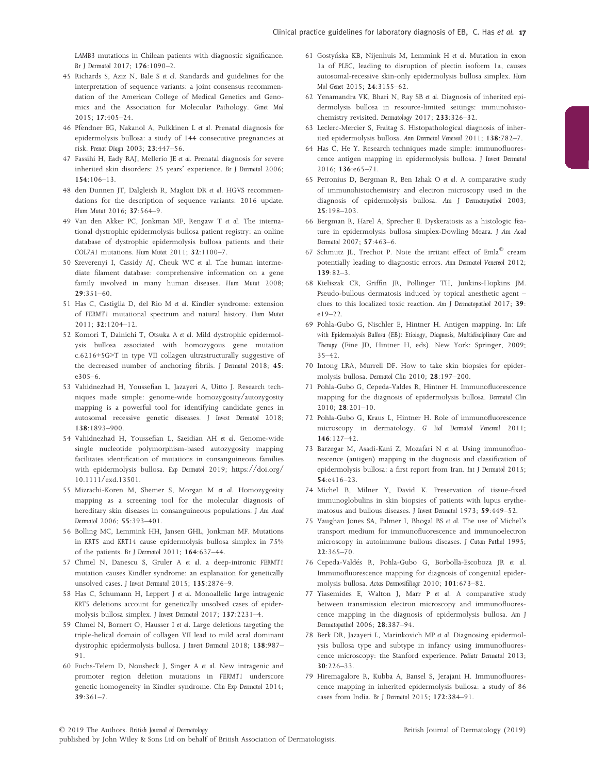LAMB3 mutations in Chilean patients with diagnostic significance. Br J Dermatol 2017; 176:1090–2.

- 45 Richards S, Aziz N, Bale S et al. Standards and guidelines for the interpretation of sequence variants: a joint consensus recommendation of the American College of Medical Genetics and Genomics and the Association for Molecular Pathology. Genet Med 2015; 17:405–24.
- 46 Pfendner EG, Nakanol A, Pulkkinen L et al. Prenatal diagnosis for epidermolysis bullosa: a study of 144 consecutive pregnancies at risk. Prenat Diagn 2003; 23:447–56.
- 47 Fassihi H, Eady RAJ, Mellerio JE et al. Prenatal diagnosis for severe inherited skin disorders: 25 years' experience. Br J Dermatol 2006; 154:106–13.
- 48 den Dunnen JT, Dalgleish R, Maglott DR et al. HGVS recommendations for the description of sequence variants: 2016 update. Hum Mutat 2016; 37:564–9.
- 49 Van den Akker PC, Jonkman MF, Rengaw T et al. The international dystrophic epidermolysis bullosa patient registry: an online database of dystrophic epidermolysis bullosa patients and their COL7A1 mutations. Hum Mutat 2011; 32:1100–7.
- 50 Szeverenyi I, Cassidy AJ, Cheuk WC et al. The human intermediate filament database: comprehensive information on a gene family involved in many human diseases. Hum Mutat 2008; 29:351–60.
- 51 Has C, Castiglia D, del Rio M et al. Kindler syndrome: extension of FERMT1 mutational spectrum and natural history. Hum Mutat 2011; 32:1204–12.
- 52 Komori T, Dainichi T, Otsuka A et al. Mild dystrophic epidermolysis bullosa associated with homozygous gene mutation c.6216+5G>T in type VII collagen ultrastructurally suggestive of the decreased number of anchoring fibrils. J Dermatol 2018; 45: e305–6.
- 53 Vahidnezhad H, Youssefian L, Jazayeri A, Uitto J. Research techniques made simple: genome-wide homozygosity/autozygosity mapping is a powerful tool for identifying candidate genes in autosomal recessive genetic diseases. J Invest Dermatol 2018; 138:1893–900.
- 54 Vahidnezhad H, Youssefian L, Saeidian AH et al. Genome-wide single nucleotide polymorphism-based autozygosity mapping facilitates identification of mutations in consanguineous families with epidermolysis bullosa. Exp Dermatol 2019; [https://doi.org/](https://doi.org/10.1111/exd.13501) [10.1111/exd.13501](https://doi.org/10.1111/exd.13501).
- 55 Mizrachi-Koren M, Shemer S, Morgan M et al. Homozygosity mapping as a screening tool for the molecular diagnosis of hereditary skin diseases in consanguineous populations. J Am Acad Dermatol 2006; 55:393–401.
- 56 Bolling MC, Lemmink HH, Jansen GHL, Jonkman MF. Mutations in KRT5 and KRT14 cause epidermolysis bullosa simplex in 75% of the patients. Br J Dermatol 2011; 164:637–44.
- 57 Chmel N, Danescu S, Gruler A et al. a deep-intronic FERMT1 mutation causes Kindler syndrome: an explanation for genetically unsolved cases. J Invest Dermatol 2015; 135:2876-9.
- 58 Has C, Schumann H, Leppert J et al. Monoallelic large intragenic KRT5 deletions account for genetically unsolved cases of epidermolysis bullosa simplex. J Invest Dermatol 2017; 137:2231–4.
- 59 Chmel N, Bornert O, Hausser I et al. Large deletions targeting the triple-helical domain of collagen VII lead to mild acral dominant dystrophic epidermolysis bullosa. J Invest Dermatol 2018; 138:987– 91.
- 60 Fuchs-Telem D, Nousbeck J, Singer A et al. New intragenic and promoter region deletion mutations in FERMT1 underscore genetic homogeneity in Kindler syndrome. Clin Exp Dermatol 2014; 39:361–7.
- 61 Gostynska KB, Nijenhuis M, Lemmink H et al. Mutation in exon 1a of PLEC, leading to disruption of plectin isoform 1a, causes autosomal-recessive skin-only epidermolysis bullosa simplex. Hum Mol Genet 2015; 24:3155–62.
- 62 Yenamandra VK, Bhari N, Ray SB et al. Diagnosis of inherited epidermolysis bullosa in resource-limited settings: immunohistochemistry revisited. Dermatology 2017; 233:326–32.
- 63 Leclerc-Mercier S, Fraitag S. Histopathological diagnosis of inherited epidermolysis bullosa. Ann Dermatol Venereol 2011; 138:782–7.
- 64 Has C, He Y. Research techniques made simple: immunofluorescence antigen mapping in epidermolysis bullosa. J Invest Dermatol 2016; 136:e65–71.
- 65 Petronius D, Bergman R, Ben Izhak O et al. A comparative study of immunohistochemistry and electron microscopy used in the diagnosis of epidermolysis bullosa. Am J Dermatopathol 2003; 25:198–203.
- 66 Bergman R, Harel A, Sprecher E. Dyskeratosis as a histologic feature in epidermolysis bullosa simplex-Dowling Meara. J Am Acad Dermatol 2007; 57:463–6.
- 67 Schmutz JL, Trechot P. Note the irritant effect of  $\text{Emla}^{\circledast}$  cream potentially leading to diagnostic errors. Ann Dermatol Venereol 2012; 139:82–3.
- 68 Kieliszak CR, Griffin JR, Pollinger TH, Junkins-Hopkins JM. Pseudo-bullous dermatosis induced by topical anesthetic agent – clues to this localized toxic reaction. Am J Dermatopathol 2017; 39: e19–22.
- 69 Pohla-Gubo G, Nischler E, Hintner H. Antigen mapping. In: Life with Epidermolysis Bullosa (EB): Etiology, Diagnosis, Multidisciplinary Care and Therapy (Fine JD, Hintner H, eds). New York: Springer, 2009; 35–42.
- 70 Intong LRA, Murrell DF. How to take skin biopsies for epidermolysis bullosa. Dermatol Clin 2010; 28:197–200.
- 71 Pohla-Gubo G, Cepeda-Valdes R, Hintner H. Immunofluorescence mapping for the diagnosis of epidermolysis bullosa. Dermatol Clin 2010; 28:201–10.
- 72 Pohla-Gubo G, Kraus L, Hintner H. Role of immunofluorescence microscopy in dermatology. G Ital Dermatol Venereol 2011; 146:127–42.
- 73 Barzegar M, Asadi-Kani Z, Mozafari N et al. Using immunofluorescence (antigen) mapping in the diagnosis and classification of epidermolysis bullosa: a first report from Iran. Int J Dermatol 2015; 54:e416–23.
- 74 Michel B, Milner Y, David K. Preservation of tissue-fixed immunoglobulins in skin biopsies of patients with lupus erythematosus and bullous diseases. J Invest Dermatol 1973; 59:449–52.
- 75 Vaughan Jones SA, Palmer I, Bhogal BS et al. The use of Michel's transport medium for immunofluorescence and immunoelectron microscopy in autoimmune bullous diseases. J Cutan Pathol 1995; 22:365–70.
- 76 Cepeda-Valdes R, Pohla-Gubo G, Borbolla-Escoboza JR et al. Immunofluorescence mapping for diagnosis of congenital epidermolysis bullosa. Actas Dermosifiliogr 2010; 101:673–82.
- 77 Yiasemides E, Walton J, Marr P et al. A comparative study between transmission electron microscopy and immunofluorescence mapping in the diagnosis of epidermolysis bullosa. Am J Dermatopathol 2006; 28:387–94.
- 78 Berk DR, Jazayeri L, Marinkovich MP et al. Diagnosing epidermolysis bullosa type and subtype in infancy using immunofluorescence microscopy: the Stanford experience. Pediatr Dermatol 2013; 30:226–33.
- 79 Hiremagalore R, Kubba A, Bansel S, Jerajani H. Immunofluorescence mapping in inherited epidermolysis bullosa: a study of 86 cases from India. Br J Dermatol 2015; 172:384–91.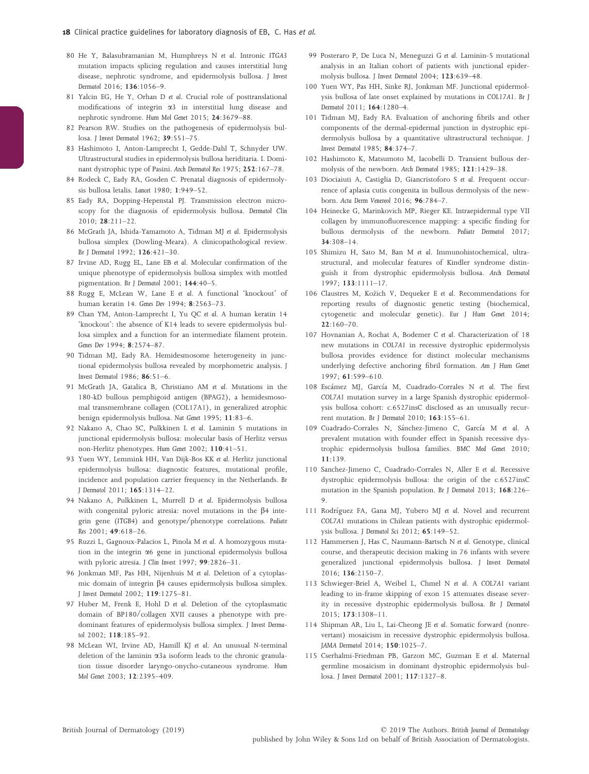- 80 He Y, Balasubramanian M, Humphreys N et al. Intronic ITGA3 mutation impacts splicing regulation and causes interstitial lung disease, nephrotic syndrome, and epidermolysis bullosa. J Invest Dermatol 2016; 136:1056–9.
- 81 Yalcin EG, He Y, Orhan D et al. Crucial role of posttranslational modifications of integrin a3 in interstitial lung disease and nephrotic syndrome. Hum Mol Genet 2015; 24:3679–88.
- 82 Pearson RW. Studies on the pathogenesis of epidermolysis bullosa. J Invest Dermatol 1962; 39:551–75.
- 83 Hashimoto I, Anton-Lamprecht I, Gedde-Dahl T, Schnyder UW. Ultrastructural studies in epidermolysis bullosa heriditaria. I. Dominant dystrophic type of Pasini. Arch Dermatol Res 1975; 252:167–78.
- 84 Rodeck C, Eady RA, Gosden C. Prenatal diagnosis of epidermolysis bullosa letalis. Lancet 1980; 1:949–52.
- 85 Eady RA, Dopping-Hepenstal PJ. Transmission electron microscopy for the diagnosis of epidermolysis bullosa. Dermatol Clin 2010; 28:211–22.
- 86 McGrath JA, Ishida-Yamamoto A, Tidman MJ et al. Epidermolysis bullosa simplex (Dowling-Meara). A clinicopathological review. Br J Dermatol 1992; 126:421–30.
- 87 Irvine AD, Rugg EL, Lane EB et al. Molecular confirmation of the unique phenotype of epidermolysis bullosa simplex with mottled pigmentation. Br J Dermatol 2001; 144:40–5.
- 88 Rugg E, McLean W, Lane E et al. A functional 'knockout' of human keratin 14. Genes Dev 1994; 8:2563–73.
- 89 Chan YM, Anton-Lamprecht I, Yu QC et al. A human keratin 14 'knockout': the absence of K14 leads to severe epidermolysis bullosa simplex and a function for an intermediate filament protein. Genes Dev 1994; 8:2574–87.
- 90 Tidman MJ, Eady RA. Hemidesmosome heterogeneity in junctional epidermolysis bullosa revealed by morphometric analysis. J Invest Dermatol 1986; 86:51–6.
- 91 McGrath JA, Gatalica B, Christiano AM et al. Mutations in the 180-kD bullous pemphigoid antigen (BPAG2), a hemidesmosomal transmembrane collagen (COL17A1), in generalized atrophic benign epidermolysis bullosa. Nat Genet 1995; 11:83–6.
- 92 Nakano A, Chao SC, Pulkkinen L et al. Laminin 5 mutations in junctional epidermolysis bullosa: molecular basis of Herlitz versus non-Herlitz phenotypes. Hum Genet 2002; 110:41–51.
- 93 Yuen WY, Lemmink HH, Van Dijk-Bos KK et al. Herlitz junctional epidermolysis bullosa: diagnostic features, mutational profile, incidence and population carrier frequency in the Netherlands. Br J Dermatol 2011; 165:1314–22.
- 94 Nakano A, Pulkkinen L, Murrell D et al. Epidermolysis bullosa with congenital pyloric atresia: novel mutations in the  $\beta$ 4 integrin gene (ITGB4) and genotype/phenotype correlations. Pediatr Res 2001; 49:618–26.
- 95 Ruzzi L, Gagnoux-Palacios L, Pinola M et al. A homozygous mutation in the integrin  $\alpha$ 6 gene in junctional epidermolysis bullosa with pyloric atresia. J Clin Invest 1997; 99:2826-31.
- 96 Jonkman MF, Pas HH, Nijenhuis M et al. Deletion of a cytoplasmic domain of integrin β4 causes epidermolysis bullosa simplex. J Invest Dermatol 2002; 119:1275–81.
- 97 Huber M, Frenk E, Hohl D et al. Deletion of the cytoplasmatic domain of BP180/collagen XVII causes a phenotype with predominant features of epidermolysis bullosa simplex. J Invest Dermatol 2002; 118:185–92.
- 98 McLean WI, Irvine AD, Hamill KJ et al. An unusual N-terminal deletion of the laminin a3a isoform leads to the chronic granulation tissue disorder laryngo-onycho-cutaneous syndrome. Hum Mol Genet 2003; 12:2395–409.
- 99 Posteraro P, De Luca N, Meneguzzi G et al. Laminin-5 mutational analysis in an Italian cohort of patients with junctional epidermolysis bullosa. J Invest Dermatol 2004; 123:639–48.
- 100 Yuen WY, Pas HH, Sinke RJ, Jonkman MF. Junctional epidermolysis bullosa of late onset explained by mutations in COL17A1. Br J Dermatol 2011; 164:1280–4.
- 101 Tidman MJ, Eady RA. Evaluation of anchoring fibrils and other components of the dermal-epidermal junction in dystrophic epidermolysis bullosa by a quantitative ultrastructural technique. J Invest Dermatol 1985; 84:374–7.
- 102 Hashimoto K, Matsumoto M, Iacobelli D. Transient bullous dermolysis of the newborn. Arch Dermatol 1985; 121:1429–38.
- 103 Diociaiuti A, Castiglia D, Giancristoforo S et al. Frequent occurrence of aplasia cutis congenita in bullous dermolysis of the newborn. Acta Derm Venereol 2016; 96:784–7.
- 104 Heinecke G, Marinkovich MP, Rieger KE. Intraepidermal type VII collagen by immunofluorescence mapping: a specific finding for bullous dermolysis of the newborn. Pediatr Dermatol 2017; 34:308–14.
- 105 Shimizu H, Sato M, Ban M et al. Immunohistochemical, ultrastructural, and molecular features of Kindler syndrome distinguish it from dystrophic epidermolysis bullosa. Arch Dermatol 1997; 133:1111–17.
- 106 Claustres M, Kozich V, Dequeker E et al. Recommendations for reporting results of diagnostic genetic testing (biochemical, cytogenetic and molecular genetic). Eur J Hum Genet 2014; 22:160–70.
- 107 Hovnanian A, Rochat A, Bodemer C et al. Characterization of 18 new mutations in COL7A1 in recessive dystrophic epidermolysis bullosa provides evidence for distinct molecular mechanisms underlying defective anchoring fibril formation. Am J Hum Genet 1997; 61:599–610.
- 108 Escámez MJ, García M, Cuadrado-Corrales N et al. The first COL7A1 mutation survey in a large Spanish dystrophic epidermolysis bullosa cohort: c.6527insC disclosed as an unusually recurrent mutation. Br J Dermatol 2010; 163:155–61.
- 109 Cuadrado-Corrales N, Sánchez-Jimeno C, García M et al. A prevalent mutation with founder effect in Spanish recessive dystrophic epidermolysis bullosa families. BMC Med Genet 2010; 11:139.
- 110 Sanchez-Jimeno C, Cuadrado-Corrales N, Aller E et al. Recessive dystrophic epidermolysis bullosa: the origin of the c.6527insC mutation in the Spanish population. Br J Dermatol 2013; 168:226– 9.
- 111 Rodríguez FA, Gana MJ, Yubero MJ et al. Novel and recurrent COL7A1 mutations in Chilean patients with dystrophic epidermolysis bullosa. J Dermatol Sci 2012; 65:149–52.
- 112 Hammersen J, Has C, Naumann-Bartsch N et al. Genotype, clinical course, and therapeutic decision making in 76 infants with severe generalized junctional epidermolysis bullosa. J Invest Dermatol 2016; 136:2150–7.
- 113 Schwieger-Briel A, Weibel L, Chmel N et al. A COL7A1 variant leading to in-frame skipping of exon 15 attenuates disease severity in recessive dystrophic epidermolysis bullosa. Br J Dermatol 2015; 173:1308–11.
- 114 Shipman AR, Liu L, Lai-Cheong JE et al. Somatic forward (nonrevertant) mosaicism in recessive dystrophic epidermolysis bullosa. JAMA Dermatol 2014; 150:1025–7.
- 115 Cserhalmi-Friedman PB, Garzon MC, Guzman E et al. Maternal germline mosaicism in dominant dystrophic epidermolysis bullosa. J Invest Dermatol 2001; 117:1327–8.